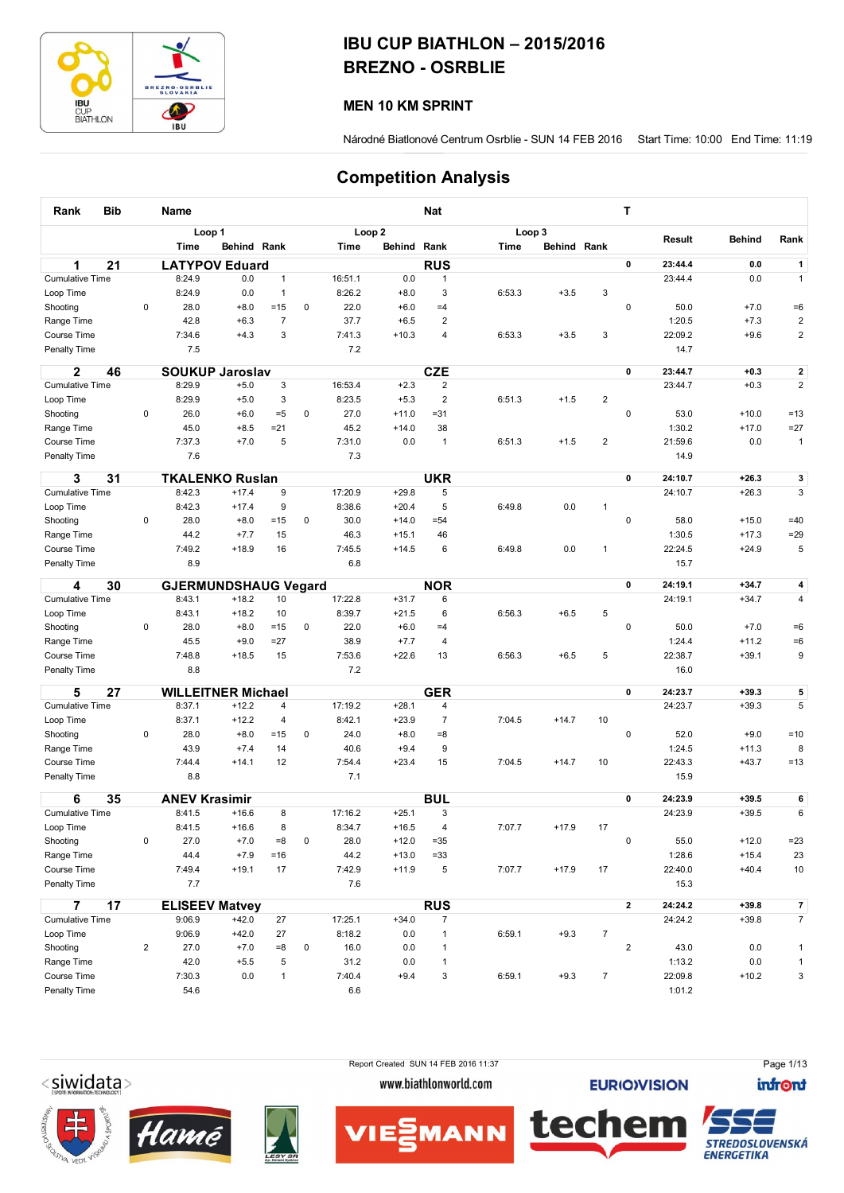

## IBU CUP BIATHLON – 2015/2016 BREZNO - OSRBLIE

## MEN 10 KM SPRINT

Národné Biatlonové Centrum Osrblie - SUN 14 FEB 2016 Start Time: 10:00 End Time: 11:19

## Competition Analysis

| Rank                   | Bib |                | Name                 |                             |                |             |         |                   | <b>Nat</b>     |             |             |                  | Т                       |         |               |                         |
|------------------------|-----|----------------|----------------------|-----------------------------|----------------|-------------|---------|-------------------|----------------|-------------|-------------|------------------|-------------------------|---------|---------------|-------------------------|
|                        |     |                |                      | Loop 1                      |                |             |         | Loop <sub>2</sub> |                | Loop 3      |             |                  |                         |         |               |                         |
|                        |     |                | <b>Time</b>          | Behind Rank                 |                |             | Time    | Behind Rank       |                | <b>Time</b> | Behind Rank |                  |                         | Result  | <b>Behind</b> | Rank                    |
| 1                      | 21  |                |                      | <b>LATYPOV Eduard</b>       |                |             |         |                   | <b>RUS</b>     |             |             |                  | 0                       | 23:44.4 | 0.0           | $\mathbf{1}$            |
| <b>Cumulative Time</b> |     |                | 8:24.9               | 0.0                         | $\mathbf{1}$   |             | 16:51.1 | 0.0               | $\mathbf{1}$   |             |             |                  |                         | 23:44.4 | 0.0           | $\mathbf{1}$            |
| Loop Time              |     |                | 8:24.9               | 0.0                         | $\overline{1}$ |             | 8:26.2  | $+8.0$            | 3              | 6:53.3      | $+3.5$      | 3                |                         |         |               |                         |
| Shooting               |     | 0              | 28.0                 | $+8.0$                      | $=15$          | 0           | 22.0    | $+6.0$            | $=4$           |             |             |                  | 0                       | 50.0    | $+7.0$        | $=6$                    |
| Range Time             |     |                | 42.8                 | $+6.3$                      | $\overline{7}$ |             | 37.7    | $+6.5$            | $\overline{2}$ |             |             |                  |                         | 1:20.5  | $+7.3$        | $\overline{\mathbf{c}}$ |
| <b>Course Time</b>     |     |                | 7:34.6               | $+4.3$                      | 3              |             | 7:41.3  | $+10.3$           | $\overline{4}$ | 6:53.3      | $+3.5$      | 3                |                         | 22:09.2 | $+9.6$        | $\overline{\mathbf{c}}$ |
| Penalty Time           |     |                | 7.5                  |                             |                |             | 7.2     |                   |                |             |             |                  |                         | 14.7    |               |                         |
| 2                      | 46  |                |                      | <b>SOUKUP Jaroslav</b>      |                |             |         |                   | <b>CZE</b>     |             |             |                  | 0                       | 23:44.7 | $+0.3$        | $\mathbf{2}$            |
| <b>Cumulative Time</b> |     |                | 8:29.9               | $+5.0$                      | 3              |             | 16:53.4 | $+2.3$            | 2              |             |             |                  |                         | 23:44.7 | $+0.3$        | $\overline{2}$          |
| Loop Time              |     |                | 8:29.9               | $+5.0$                      | 3              |             | 8:23.5  | $+5.3$            | $\overline{2}$ | 6:51.3      | $+1.5$      | $\boldsymbol{2}$ |                         |         |               |                         |
| Shooting               |     | 0              | 26.0                 | $+6.0$                      | $=5$           | 0           | 27.0    | $+11.0$           | $= 31$         |             |             |                  | 0                       | 53.0    | $+10.0$       | $=13$                   |
| Range Time             |     |                | 45.0                 | $+8.5$                      | $= 21$         |             | 45.2    | $+14.0$           | 38             |             |             |                  |                         | 1:30.2  | $+17.0$       | $=27$                   |
| Course Time            |     |                | 7:37.3               | $+7.0$                      | 5              |             | 7:31.0  | 0.0               | $\mathbf{1}$   | 6:51.3      | $+1.5$      | $\overline{2}$   |                         | 21:59.6 | 0.0           | $\mathbf{1}$            |
| Penalty Time           |     |                | 7.6                  |                             |                |             | 7.3     |                   |                |             |             |                  |                         | 14.9    |               |                         |
| 3                      | 31  |                |                      | <b>TKALENKO Ruslan</b>      |                |             |         |                   | <b>UKR</b>     |             |             |                  | 0                       | 24:10.7 | $+26.3$       | 3                       |
| <b>Cumulative Time</b> |     |                | 8:42.3               | $+17.4$                     | 9              |             | 17:20.9 | $+29.8$           | 5              |             |             |                  |                         | 24:10.7 | $+26.3$       | 3                       |
| Loop Time              |     |                | 8:42.3               | $+17.4$                     | 9              |             | 8:38.6  | $+20.4$           | 5              | 6:49.8      | 0.0         | 1                |                         |         |               |                         |
| Shooting               |     | $\pmb{0}$      | 28.0                 | $+8.0$                      | $=15$          | $\pmb{0}$   | 30.0    | $+14.0$           | $= 54$         |             |             |                  | 0                       | 58.0    | $+15.0$       | $=40$                   |
| Range Time             |     |                | 44.2                 | $+7.7$                      | 15             |             | 46.3    | $+15.1$           | 46             |             |             |                  |                         | 1:30.5  | $+17.3$       | $=29$                   |
| Course Time            |     |                | 7:49.2               | $+18.9$                     | 16             |             | 7:45.5  | $+14.5$           | 6              | 6:49.8      | 0.0         | $\mathbf{1}$     |                         | 22:24.5 | $+24.9$       | 5                       |
| <b>Penalty Time</b>    |     |                | 8.9                  |                             |                |             | 6.8     |                   |                |             |             |                  |                         | 15.7    |               |                         |
| 4                      | 30  |                |                      | <b>GJERMUNDSHAUG Vegard</b> |                |             |         |                   | <b>NOR</b>     |             |             |                  | 0                       | 24:19.1 | $+34.7$       | $\overline{\mathbf{4}}$ |
| <b>Cumulative Time</b> |     |                | 8:43.1               | $+18.2$                     | 10             |             | 17:22.8 | $+31.7$           | 6              |             |             |                  |                         | 24:19.1 | $+34.7$       | 4                       |
| Loop Time              |     |                | 8:43.1               | $+18.2$                     | 10             |             | 8:39.7  | $+21.5$           | 6              | 6:56.3      | $+6.5$      | 5                |                         |         |               |                         |
| Shooting               |     | $\mathbf 0$    | 28.0                 | $+8.0$                      | $=15$          | 0           | 22.0    | $+6.0$            | $=4$           |             |             |                  | 0                       | 50.0    | $+7.0$        | $=6$                    |
| Range Time             |     |                | 45.5                 | $+9.0$                      | $=27$          |             | 38.9    | $+7.7$            | $\overline{4}$ |             |             |                  |                         | 1:24.4  | $+11.2$       | $=6$                    |
| Course Time            |     |                | 7:48.8               | $+18.5$                     | 15             |             | 7:53.6  | $+22.6$           | 13             | 6:56.3      | $+6.5$      | 5                |                         | 22:38.7 | $+39.1$       | 9                       |
| Penalty Time           |     |                | 8.8                  |                             |                |             | 7.2     |                   |                |             |             |                  |                         | 16.0    |               |                         |
| 5                      | 27  |                |                      | <b>WILLEITNER Michael</b>   |                |             |         |                   | <b>GER</b>     |             |             |                  | 0                       | 24:23.7 | $+39.3$       | 5                       |
| <b>Cumulative Time</b> |     |                | 8:37.1               | $+12.2$                     | 4              |             | 17:19.2 | $+28.1$           | 4              |             |             |                  |                         | 24:23.7 | $+39.3$       | 5                       |
| Loop Time              |     |                | 8:37.1               | $+12.2$                     | 4              |             | 8:42.1  | $+23.9$           | $\overline{7}$ | 7:04.5      | $+14.7$     | 10               |                         |         |               |                         |
| Shooting               |     | 0              | 28.0                 | $+8.0$                      | $=15$          | 0           | 24.0    | $+8.0$            | $= 8$          |             |             |                  | 0                       | 52.0    | $+9.0$        | $=10$                   |
| Range Time             |     |                | 43.9                 | $+7.4$                      | 14             |             | 40.6    | $+9.4$            | 9              |             |             |                  |                         | 1:24.5  | $+11.3$       | 8                       |
| Course Time            |     |                | 7:44.4               | $+14.1$                     | 12             |             | 7:54.4  | $+23.4$           | 15             | 7:04.5      | $+14.7$     | 10               |                         | 22:43.3 | $+43.7$       | $=13$                   |
| Penalty Time           |     |                | 8.8                  |                             |                |             | 7.1     |                   |                |             |             |                  |                         | 15.9    |               |                         |
| 6                      | 35  |                | <b>ANEV Krasimir</b> |                             |                |             |         |                   | <b>BUL</b>     |             |             |                  | 0                       | 24:23.9 | $+39.5$       | 6                       |
| <b>Cumulative Time</b> |     |                | 8:41.5               | $+16.6$                     | 8              |             | 17:16.2 | $+25.1$           | 3              |             |             |                  |                         | 24:23.9 | $+39.5$       | 6                       |
| Loop Time              |     |                | 8:41.5               | $+16.6$                     | 8              |             | 8:34.7  | $+16.5$           | 4              | 7:07.7      | $+17.9$     | 17               |                         |         |               |                         |
| Shooting               |     | 0              | 27.0                 | $+7.0$                      | $= 8$          | $\pmb{0}$   | 28.0    | $+12.0$           | $= 35$         |             |             |                  | 0                       | 55.0    | $+12.0$       | $= 23$                  |
| Range Time             |     |                | 44.4                 | $+7.9$                      | $=16$          |             | 44.2    | $+13.0$           | $= 33$         |             |             |                  |                         | 1:28.6  | $+15.4$       | 23                      |
| Course Time            |     |                | 7:49.4               | $+19.1$                     | 17             |             | 7:42.9  | $+11.9$           | 5              | 7:07.7      | $+17.9$     | 17               |                         | 22:40.0 | $+40.4$       | 10                      |
| Penalty Time           |     |                | 7.7                  |                             |                |             | 7.6     |                   |                |             |             |                  |                         | 15.3    |               |                         |
| 7                      | 17  |                |                      | <b>ELISEEV Matvey</b>       |                |             |         |                   | <b>RUS</b>     |             |             |                  | $\mathbf{2}$            | 24:24.2 | $+39.8$       | $\overline{7}$          |
| <b>Cumulative Time</b> |     |                | 9:06.9               | $+42.0$                     | 27             |             | 17:25.1 | $+34.0$           | 7              |             |             |                  |                         | 24:24.2 | $+39.8$       | $\overline{7}$          |
| Loop Time              |     |                | 9:06.9               | $+42.0$                     | 27             |             | 8:18.2  | 0.0               | $\mathbf{1}$   | 6:59.1      | $+9.3$      | $\overline{7}$   |                         |         |               |                         |
| Shooting               |     | $\overline{2}$ | 27.0                 | $+7.0$                      | $= 8$          | $\mathbf 0$ | 16.0    | 0.0               | $\mathbf{1}$   |             |             |                  | $\overline{\mathbf{c}}$ | 43.0    | 0.0           | $\mathbf{1}$            |
| Range Time             |     |                | 42.0                 | $+5.5$                      | 5              |             | 31.2    | 0.0               | $\mathbf{1}$   |             |             |                  |                         | 1:13.2  | 0.0           | $\mathbf{1}$            |
| Course Time            |     |                | 7:30.3               | 0.0                         | $\mathbf{1}$   |             | 7:40.4  | $+9.4$            | 3              | 6:59.1      | $+9.3$      | $\overline{7}$   |                         | 22:09.8 | $+10.2$       | 3                       |
| Penalty Time           |     |                | 54.6                 |                             |                |             | 6.6     |                   |                |             |             |                  |                         | 1:01.2  |               |                         |

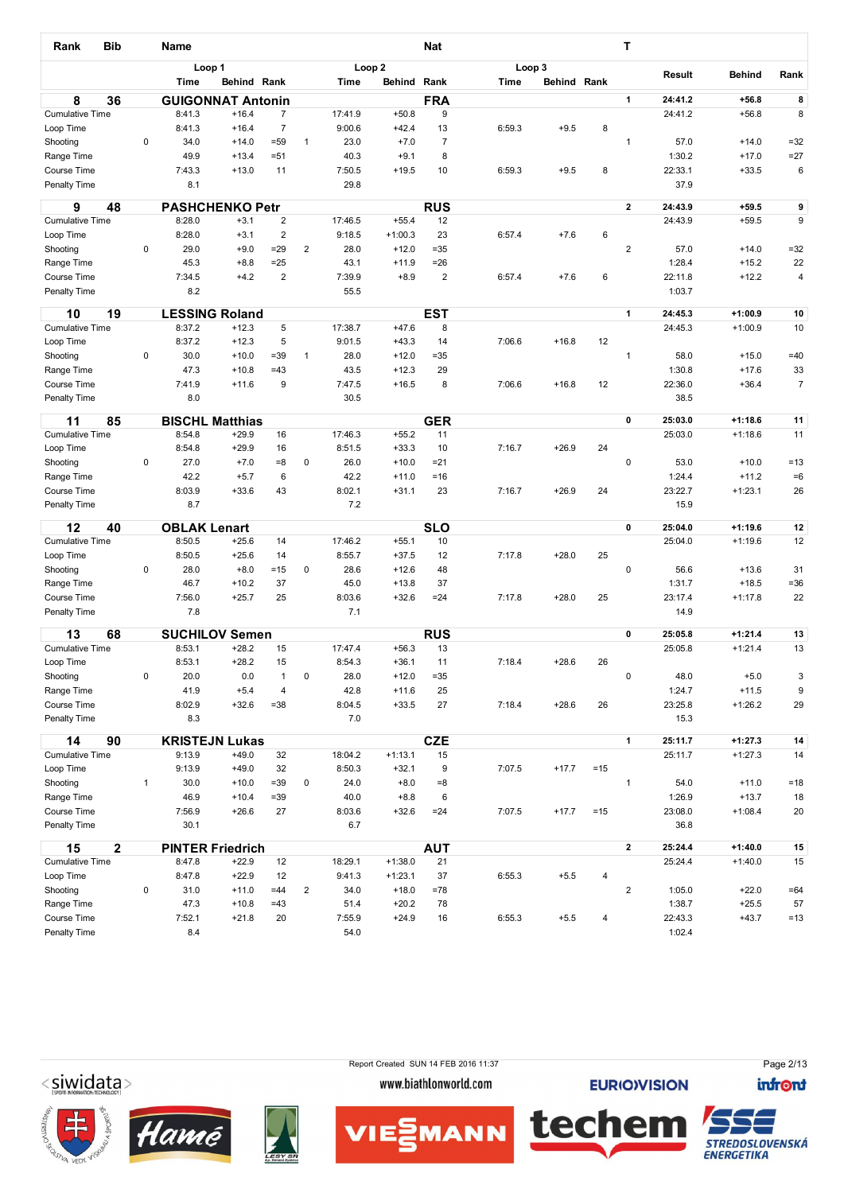| <b>Bib</b><br>Rank                  |              | <b>Name</b>         |                                     |                 |                         |                   |                      | <b>Nat</b>       |        |                    |       | т              |                    |                        |                      |
|-------------------------------------|--------------|---------------------|-------------------------------------|-----------------|-------------------------|-------------------|----------------------|------------------|--------|--------------------|-------|----------------|--------------------|------------------------|----------------------|
|                                     |              |                     | Loop 1                              |                 |                         | Loop <sub>2</sub> |                      |                  | Loop 3 |                    |       |                | Result             | <b>Behind</b>          | Rank                 |
|                                     |              | Time                | Behind Rank                         |                 |                         | Time              | Behind               | Rank             | Time   | <b>Behind Rank</b> |       |                |                    |                        |                      |
| 8<br>36<br><b>Cumulative Time</b>   |              | 8:41.3              | <b>GUIGONNAT Antonin</b><br>$+16.4$ | $\overline{7}$  |                         | 17:41.9           | $+50.8$              | <b>FRA</b><br>9  |        |                    |       | 1              | 24:41.2<br>24:41.2 | $+56.8$<br>$+56.8$     | 8<br>8               |
| Loop Time                           |              | 8:41.3              | $+16.4$                             | $\overline{7}$  |                         | 9:00.6            | $+42.4$              | 13               | 6:59.3 | $+9.5$             | 8     |                |                    |                        |                      |
| Shooting                            | 0            | 34.0                | $+14.0$                             | $= 59$          | $\mathbf{1}$            | 23.0              | $+7.0$               | $\boldsymbol{7}$ |        |                    |       | 1              | 57.0               | $+14.0$                | $=32$                |
| Range Time                          |              | 49.9                | $+13.4$                             | $= 51$          |                         | 40.3              | $+9.1$               | 8                |        |                    |       |                | 1:30.2             | $+17.0$                | $=27$                |
| Course Time                         |              | 7:43.3              | $+13.0$                             | 11              |                         | 7:50.5            | $+19.5$              | 10               | 6:59.3 | $+9.5$             | 8     |                | 22:33.1            | $+33.5$                | 6                    |
| Penalty Time                        |              | 8.1                 |                                     |                 |                         | 29.8              |                      |                  |        |                    |       |                | 37.9               |                        |                      |
| 9<br>48                             |              |                     | <b>PASHCHENKO Petr</b>              |                 |                         |                   |                      | <b>RUS</b>       |        |                    |       | $\mathbf{2}$   | 24:43.9            | $+59.5$                | 9                    |
| <b>Cumulative Time</b>              |              | 8:28.0              | $+3.1$                              | $\overline{2}$  |                         | 17:46.5           | $+55.4$              | 12               |        |                    |       |                | 24:43.9            | $+59.5$                | 9                    |
| Loop Time                           |              | 8:28.0              | $+3.1$                              | $\overline{2}$  |                         | 9:18.5            | $+1:00.3$            | 23               | 6:57.4 | $+7.6$             | 6     |                |                    |                        |                      |
| Shooting                            | 0            | 29.0<br>45.3        | $+9.0$                              | $= 29$<br>$=25$ | $\overline{2}$          | 28.0<br>43.1      | $+12.0$              | $=35$<br>$= 26$  |        |                    |       | $\overline{2}$ | 57.0<br>1:28.4     | $+14.0$<br>$+15.2$     | $= 32$               |
| Range Time<br>Course Time           |              | 7:34.5              | $+8.8$<br>$+4.2$                    | $\overline{2}$  |                         | 7:39.9            | $+11.9$<br>$+8.9$    | $\overline{2}$   | 6:57.4 | $+7.6$             | 6     |                | 22:11.8            | $+12.2$                | 22<br>4              |
| Penalty Time                        |              | 8.2                 |                                     |                 |                         | 55.5              |                      |                  |        |                    |       |                | 1:03.7             |                        |                      |
|                                     |              |                     |                                     |                 |                         |                   |                      |                  |        |                    |       |                |                    |                        |                      |
| 19<br>10                            |              |                     | <b>LESSING Roland</b>               |                 |                         |                   |                      | <b>EST</b>       |        |                    |       | $\mathbf{1}$   | 24:45.3            | $+1:00.9$              | 10                   |
| <b>Cumulative Time</b>              |              | 8:37.2              | $+12.3$                             | 5               |                         | 17:38.7           | $+47.6$              | 8                |        |                    |       |                | 24:45.3            | $+1:00.9$              | 10                   |
| Loop Time                           |              | 8:37.2              | $+12.3$                             | 5               |                         | 9:01.5            | $+43.3$              | 14               | 7:06.6 | $+16.8$            | 12    |                |                    |                        |                      |
| Shooting<br>Range Time              | 0            | 30.0<br>47.3        | $+10.0$<br>$+10.8$                  | $= 39$<br>$=43$ | $\mathbf{1}$            | 28.0<br>43.5      | $+12.0$<br>$+12.3$   | $=35$<br>29      |        |                    |       | 1              | 58.0<br>1:30.8     | $+15.0$<br>$+17.6$     | $=40$                |
| Course Time                         |              | 7:41.9              | $+11.6$                             | 9               |                         | 7:47.5            | $+16.5$              | 8                | 7:06.6 | $+16.8$            | 12    |                | 22:36.0            | $+36.4$                | 33<br>$\overline{7}$ |
| Penalty Time                        |              | 8.0                 |                                     |                 |                         | 30.5              |                      |                  |        |                    |       |                | 38.5               |                        |                      |
|                                     |              |                     |                                     |                 |                         |                   |                      |                  |        |                    |       |                |                    |                        |                      |
| 11<br>85<br><b>Cumulative Time</b>  |              | 8:54.8              | <b>BISCHL Matthias</b><br>$+29.9$   | 16              |                         | 17:46.3           | $+55.2$              | <b>GER</b><br>11 |        |                    |       | 0              | 25:03.0<br>25:03.0 | $+1:18.6$<br>$+1:18.6$ | 11<br>11             |
| Loop Time                           |              | 8:54.8              | $+29.9$                             | 16              |                         | 8:51.5            | $+33.3$              | 10               | 7:16.7 | $+26.9$            | 24    |                |                    |                        |                      |
| Shooting                            | 0            | 27.0                | $+7.0$                              | $= 8$           | 0                       | 26.0              | $+10.0$              | $= 21$           |        |                    |       | 0              | 53.0               | $+10.0$                | $=13$                |
| Range Time                          |              | 42.2                | $+5.7$                              | 6               |                         | 42.2              | $+11.0$              | $=16$            |        |                    |       |                | 1:24.4             | $+11.2$                | $=6$                 |
| Course Time                         |              | 8:03.9              | $+33.6$                             | 43              |                         | 8:02.1            | $+31.1$              | 23               | 7:16.7 | $+26.9$            | 24    |                | 23:22.7            | $+1:23.1$              | 26                   |
| Penalty Time                        |              | 8.7                 |                                     |                 |                         | 7.2               |                      |                  |        |                    |       |                | 15.9               |                        |                      |
| 12<br>40                            |              | <b>OBLAK Lenart</b> |                                     |                 |                         |                   |                      | $\overline{SLO}$ |        |                    |       | 0              | 25:04.0            | $+1:19.6$              | 12                   |
| <b>Cumulative Time</b>              |              | 8:50.5              | $+25.6$                             | 14              |                         | 17:46.2           | $+55.1$              | 10               |        |                    |       |                | 25:04.0            | $+1:19.6$              | 12                   |
| Loop Time                           |              | 8:50.5              | $+25.6$                             | 14              |                         | 8:55.7            | $+37.5$              | 12               | 7:17.8 | $+28.0$            | 25    |                |                    |                        |                      |
| Shooting                            | 0            | 28.0                | $+8.0$                              | $=15$           | 0                       | 28.6              | $+12.6$              | 48               |        |                    |       | 0              | 56.6               | $+13.6$                | 31                   |
| Range Time                          |              | 46.7                | $+10.2$                             | 37              |                         | 45.0              | $+13.8$              | 37               |        |                    |       |                | 1:31.7             | $+18.5$                | $= 36$               |
| Course Time                         |              | 7:56.0              | $+25.7$                             | 25              |                         | 8:03.6            | $+32.6$              | $= 24$           | 7:17.8 | $+28.0$            | 25    |                | 23:17.4            | $+1:17.8$              | 22                   |
| Penalty Time                        |              | 7.8                 |                                     |                 |                         | 7.1               |                      |                  |        |                    |       |                | 14.9               |                        |                      |
| 13<br>68                            |              |                     | <b>SUCHILOV Semen</b>               |                 |                         |                   |                      | <b>RUS</b>       |        |                    |       | 0              | 25:05.8            | $+1:21.4$              | 13                   |
| <b>Cumulative Time</b>              |              | 8:53.1              | $+28.2$                             | 15              |                         | 17:47.4           | $+56.3$              | 13               |        |                    |       |                | 25:05.8            | $+1:21.4$              | 13                   |
| Loop Time                           |              | 8:53.1              | $+28.2$                             | 15              |                         | 8:54.3            | $+36.1$              | 11               | 7:18.4 | $+28.6$            | 26    |                |                    |                        |                      |
| Shooting                            | 0            | 20.0                | 0.0                                 | $\mathbf{1}$    | 0                       | 28.0              | $+12.0$              | $= 35$           |        |                    |       | 0              | 48.0               | $+5.0$                 | 3                    |
| Range Time                          |              | 41.9                | $+5.4$                              | 4               |                         | 42.8              | $+11.6$              | 25               |        |                    |       |                | 1:24.7             | $+11.5$                | 9                    |
| Course Time<br>Penalty Time         |              | 8:02.9<br>8.3       | $+32.6$                             | $= 38$          |                         | 8:04.5<br>7.0     | $+33.5$              | 27               | 7:18.4 | $+28.6$            | 26    |                | 23:25.8<br>15.3    | $+1:26.2$              | 29                   |
|                                     |              |                     |                                     |                 |                         |                   |                      |                  |        |                    |       |                |                    |                        |                      |
| 14<br>90                            |              | <b>KRISTEJN</b>     | Lukas                               |                 |                         |                   |                      | <b>CZE</b>       |        |                    |       | 1              | 25:11.7            | $+1:27.3$              | 14                   |
| <b>Cumulative Time</b><br>Loop Time |              | 9:13.9<br>9:13.9    | $+49.0$<br>$+49.0$                  | 32<br>32        |                         | 18:04.2<br>8:50.3 | $+1:13.1$<br>$+32.1$ | 15<br>9          | 7:07.5 | $+17.7$            | $=15$ |                | 25:11.7            | $+1:27.3$              | 14                   |
| Shooting                            | $\mathbf{1}$ | 30.0                | $+10.0$                             | $= 39$          | 0                       | 24.0              | $+8.0$               | $= 8$            |        |                    |       | $\mathbf{1}$   | 54.0               | $+11.0$                | $=18$                |
| Range Time                          |              | 46.9                | $+10.4$                             | $= 39$          |                         | 40.0              | $+8.8$               | 6                |        |                    |       |                | 1:26.9             | $+13.7$                | 18                   |
| Course Time                         |              | 7:56.9              | $+26.6$                             | 27              |                         | 8:03.6            | $+32.6$              | $= 24$           | 7:07.5 | $+17.7$            | $=15$ |                | 23:08.0            | $+1:08.4$              | 20                   |
| Penalty Time                        |              | 30.1                |                                     |                 |                         | 6.7               |                      |                  |        |                    |       |                | 36.8               |                        |                      |
| $\overline{2}$<br>15                |              |                     | <b>PINTER Friedrich</b>             |                 |                         |                   |                      | <b>AUT</b>       |        |                    |       | $\mathbf{2}$   | 25:24.4            | $+1:40.0$              | 15                   |
| <b>Cumulative Time</b>              |              | 8:47.8              | $+22.9$                             | 12              |                         | 18:29.1           | $+1:38.0$            | 21               |        |                    |       |                | 25:24.4            | $+1:40.0$              | 15                   |
| Loop Time                           |              | 8:47.8              | $+22.9$                             | 12              |                         | 9:41.3            | $+1:23.1$            | 37               | 6:55.3 | $+5.5$             | 4     |                |                    |                        |                      |
| Shooting                            | 0            | 31.0                | $+11.0$                             | $=44$           | $\overline{\mathbf{c}}$ | 34.0              | $+18.0$              | =78              |        |                    |       | $\overline{c}$ | 1:05.0             | $+22.0$                | $=64$                |
| Range Time                          |              | 47.3                | $+10.8$                             | $=43$           |                         | 51.4              | $+20.2$              | 78               |        |                    |       |                | 1:38.7             | $+25.5$                | 57                   |
| Course Time                         |              | 7:52.1              | $+21.8$                             | 20              |                         | 7:55.9            | $+24.9$              | 16               | 6:55.3 | $+5.5$             | 4     |                | 22:43.3            | $+43.7$                | $=13$                |
| Penalty Time                        |              | 8.4                 |                                     |                 |                         | 54.0              |                      |                  |        |                    |       |                | 1:02.4             |                        |                      |
|                                     |              |                     |                                     |                 |                         |                   |                      |                  |        |                    |       |                |                    |                        |                      |

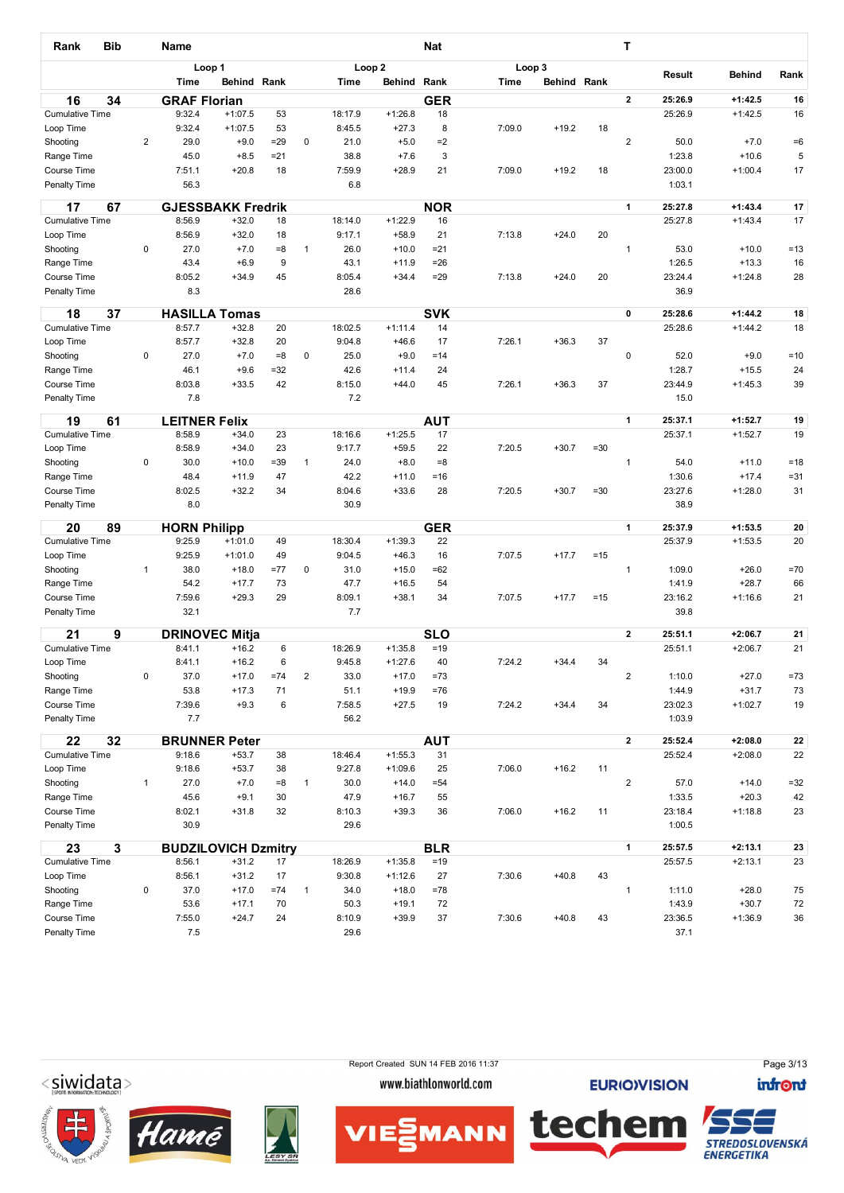| Rank                                | <b>Bib</b> |                | Name                 |                                  |          |              |                   |                      | <b>Nat</b>          |             |                    |        | Т                       |                   |                    |              |
|-------------------------------------|------------|----------------|----------------------|----------------------------------|----------|--------------|-------------------|----------------------|---------------------|-------------|--------------------|--------|-------------------------|-------------------|--------------------|--------------|
|                                     |            |                |                      | Loop 1                           |          |              |                   | Loop <sub>2</sub>    |                     | Loop 3      |                    |        |                         | Result            | <b>Behind</b>      | Rank         |
|                                     |            |                | <b>Time</b>          | Behind Rank                      |          |              | <b>Time</b>       | Behind               | Rank                | <b>Time</b> | <b>Behind Rank</b> |        |                         |                   |                    |              |
| 16                                  | 34         |                | <b>GRAF Florian</b>  |                                  |          |              |                   |                      | <b>GER</b>          |             |                    |        | $\overline{2}$          | 25:26.9           | $+1:42.5$          | 16           |
| <b>Cumulative Time</b><br>Loop Time |            |                | 9:32.4<br>9:32.4     | $+1:07.5$<br>$+1:07.5$           | 53<br>53 |              | 18:17.9<br>8:45.5 | $+1:26.8$<br>$+27.3$ | 18<br>8             | 7:09.0      | $+19.2$            | 18     |                         | 25:26.9           | $+1:42.5$          | 16           |
| Shooting                            |            | $\overline{2}$ | 29.0                 | $+9.0$                           | $=29$    | 0            | 21.0              | $+5.0$               | $=2$                |             |                    |        | $\overline{\mathbf{c}}$ | 50.0              | $+7.0$             | $=6$         |
| Range Time                          |            |                | 45.0                 | $+8.5$                           | $= 21$   |              | 38.8              | $+7.6$               | 3                   |             |                    |        |                         | 1:23.8            | $+10.6$            | 5            |
| Course Time                         |            |                | 7:51.1               | $+20.8$                          | 18       |              | 7:59.9            | $+28.9$              | 21                  | 7:09.0      | $+19.2$            | 18     |                         | 23:00.0           | $+1:00.4$          | 17           |
| Penalty Time                        |            |                | 56.3                 |                                  |          |              | 6.8               |                      |                     |             |                    |        |                         | 1:03.1            |                    |              |
| 17                                  | 67         |                |                      | <b>GJESSBAKK Fredrik</b>         |          |              |                   |                      | <b>NOR</b>          |             |                    |        | $\mathbf{1}$            | 25:27.8           | $+1:43.4$          | $17\,$       |
| <b>Cumulative Time</b>              |            |                | 8:56.9               | $+32.0$                          | 18       |              | 18:14.0           | $+1:22.9$            | 16                  |             |                    |        |                         | 25:27.8           | $+1:43.4$          | 17           |
| Loop Time                           |            |                | 8:56.9               | $+32.0$                          | 18       |              | 9:17.1            | $+58.9$              | 21                  | 7:13.8      | $+24.0$            | 20     |                         |                   |                    |              |
| Shooting                            |            | 0              | 27.0                 | $+7.0$                           | $= 8$    | 1            | 26.0              | $+10.0$              | $= 21$              |             |                    |        | 1                       | 53.0              | $+10.0$            | $=13$        |
| Range Time                          |            |                | 43.4                 | $+6.9$                           | 9        |              | 43.1              | $+11.9$              | $= 26$<br>$= 29$    |             | $+24.0$            |        |                         | 1:26.5            | $+13.3$            | 16           |
| Course Time<br>Penalty Time         |            |                | 8:05.2<br>8.3        | $+34.9$                          | 45       |              | 8:05.4<br>28.6    | $+34.4$              |                     | 7:13.8      |                    | 20     |                         | 23:24.4<br>36.9   | $+1:24.8$          | 28           |
|                                     |            |                |                      |                                  |          |              |                   |                      |                     |             |                    |        |                         |                   |                    |              |
| 18                                  | 37         |                |                      | <b>HASILLA Tomas</b>             |          |              |                   |                      | <b>SVK</b>          |             |                    |        | 0                       | 25:28.6           | $+1:44.2$          | ${\bf 18}$   |
| <b>Cumulative Time</b>              |            |                | 8:57.7               | $+32.8$                          | 20       |              | 18:02.5           | $+1:11.4$            | 14                  |             |                    |        |                         | 25:28.6           | $+1:44.2$          | 18           |
| Loop Time                           |            |                | 8:57.7               | $+32.8$                          | 20       |              | 9:04.8            | $+46.6$              | 17                  | 7:26.1      | $+36.3$            | 37     |                         |                   |                    |              |
| Shooting                            |            | 0              | 27.0                 | $+7.0$                           | $= 8$    | 0            | 25.0              | $+9.0$               | $=14$               |             |                    |        | 0                       | 52.0              | $+9.0$             | $=10$        |
| Range Time                          |            |                | 46.1                 | $+9.6$                           | $=32$    |              | 42.6              | $+11.4$              | 24                  |             |                    |        |                         | 1:28.7            | $+15.5$            | 24           |
| Course Time<br>Penalty Time         |            |                | 8:03.8<br>7.8        | $+33.5$                          | 42       |              | 8:15.0<br>7.2     | $+44.0$              | 45                  | 7:26.1      | $+36.3$            | 37     |                         | 23:44.9<br>15.0   | $+1:45.3$          | 39           |
|                                     |            |                |                      |                                  |          |              |                   |                      |                     |             |                    |        |                         |                   |                    |              |
| 19                                  | 61         |                | <b>LEITNER Felix</b> |                                  |          |              |                   |                      | <b>AUT</b>          |             |                    |        | 1                       | 25:37.1           | $+1:52.7$          | 19           |
| <b>Cumulative Time</b>              |            |                | 8:58.9               | $+34.0$                          | 23       |              | 18:16.6           | $+1:25.5$            | 17                  |             |                    |        |                         | 25:37.1           | $+1:52.7$          | 19           |
| Loop Time                           |            |                | 8:58.9               | $+34.0$                          | 23       |              | 9:17.7            | $+59.5$              | 22                  | 7:20.5      | $+30.7$            | $= 30$ |                         |                   |                    |              |
| Shooting                            |            | 0              | 30.0                 | $+10.0$                          | $= 39$   | $\mathbf{1}$ | 24.0<br>42.2      | $+8.0$               | $= 8$               |             |                    |        | 1                       | 54.0<br>1:30.6    | $+11.0$<br>$+17.4$ | $=18$        |
| Range Time<br>Course Time           |            |                | 48.4<br>8:02.5       | $+11.9$<br>$+32.2$               | 47<br>34 |              | 8:04.6            | $+11.0$<br>$+33.6$   | =16<br>28           | 7:20.5      | $+30.7$            | $= 30$ |                         | 23:27.6           | $+1:28.0$          | $= 31$<br>31 |
| Penalty Time                        |            |                | 8.0                  |                                  |          |              | 30.9              |                      |                     |             |                    |        |                         | 38.9              |                    |              |
|                                     |            |                |                      |                                  |          |              |                   |                      |                     |             |                    |        |                         |                   |                    |              |
| 20                                  | 89         |                | <b>HORN Philipp</b>  |                                  |          |              |                   |                      | <b>GER</b>          |             |                    |        | 1                       | 25:37.9           | $+1:53.5$          | 20           |
| <b>Cumulative Time</b>              |            |                | 9:25.9<br>9:25.9     | $+1:01.0$<br>$+1:01.0$           | 49<br>49 |              | 18:30.4<br>9:04.5 | $+1:39.3$<br>$+46.3$ | 22<br>16            | 7:07.5      |                    |        |                         | 25:37.9           | $+1:53.5$          | 20           |
| Loop Time                           |            | $\mathbf{1}$   | 38.0                 | $+18.0$                          | $= 77$   | 0            | 31.0              | $+15.0$              | $=62$               |             | $+17.7$            | $=15$  | 1                       | 1:09.0            | $+26.0$            | $=70$        |
| Shooting<br>Range Time              |            |                | 54.2                 | $+17.7$                          | 73       |              | 47.7              | $+16.5$              | 54                  |             |                    |        |                         | 1:41.9            | $+28.7$            | 66           |
| Course Time                         |            |                | 7:59.6               | $+29.3$                          | 29       |              | 8:09.1            | $+38.1$              | 34                  | 7:07.5      | $+17.7$            | $=15$  |                         | 23:16.2           | $+1:16.6$          | 21           |
| Penalty Time                        |            |                | 32.1                 |                                  |          |              | 7.7               |                      |                     |             |                    |        |                         | 39.8              |                    |              |
|                                     |            |                |                      |                                  |          |              |                   |                      |                     |             |                    |        | $\mathbf{2}$            | 25:51.1           | $+2:06.7$          | 21           |
| 21<br><b>Cumulative Time</b>        | 9          |                | 8:41.1               | <b>DRINOVEC Mitja</b><br>$+16.2$ | 6        |              | 18:26.9           | $+1:35.8$            | <b>SLO</b><br>$=19$ |             |                    |        |                         | 25:51.1           | $+2:06.7$          | 21           |
| Loop Time                           |            |                | 8:41.1               | $+16.2$                          | 6        |              | 9:45.8            | $+1:27.6$            | 40                  | 7:24.2      | $+34.4$            | 34     |                         |                   |                    |              |
| Shooting                            |            | 0              | 37.0                 | $+17.0$                          | $=74$    | $\mathbf 2$  | 33.0              | $+17.0$              | $=73$               |             |                    |        | $\overline{\mathbf{c}}$ | 1:10.0            | $+27.0$            | $=73$        |
| Range Time                          |            |                | 53.8                 | $+17.3$                          | 71       |              | 51.1              | $+19.9$              | $= 76$              |             |                    |        |                         | 1:44.9            | $+31.7$            | 73           |
| Course Time                         |            |                | 7:39.6               | $+9.3$                           | 6        |              | 7:58.5            | $+27.5$              | 19                  | 7:24.2      | $+34.4$            | 34     |                         | 23:02.3           | $+1:02.7$          | 19           |
| Penalty Time                        |            |                | 7.7                  |                                  |          |              | 56.2              |                      |                     |             |                    |        |                         | 1:03.9            |                    |              |
| 22                                  | 32         |                |                      | <b>BRUNNER Peter</b>             |          |              |                   |                      | <b>AUT</b>          |             |                    |        | $\mathbf{2}$            | 25:52.4           | $+2:08.0$          | 22           |
| <b>Cumulative Time</b>              |            |                | 9:18.6               | $+53.7$                          | 38       |              | 18:46.4           | $+1:55.3$            | 31                  |             |                    |        |                         | 25:52.4           | $+2:08.0$          | 22           |
| Loop Time                           |            |                | 9:18.6               | $+53.7$                          | 38       |              | 9:27.8            | $+1:09.6$            | 25                  | 7:06.0      | $+16.2$            | 11     |                         |                   |                    |              |
| Shooting                            |            | $\mathbf{1}$   | 27.0                 | $+7.0$                           | $= 8$    | $\mathbf{1}$ | 30.0              | $+14.0$              | $= 54$              |             |                    |        | $\overline{\mathbf{c}}$ | 57.0              | $+14.0$            | $=32$        |
| Range Time                          |            |                | 45.6                 | $+9.1$                           | 30       |              | 47.9              | $+16.7$              | 55                  |             |                    |        |                         | 1:33.5            | $+20.3$            | 42           |
| Course Time<br>Penalty Time         |            |                | 8:02.1<br>30.9       | $+31.8$                          | 32       |              | 8:10.3<br>29.6    | $+39.3$              | 36                  | 7:06.0      | $+16.2$            | 11     |                         | 23:18.4<br>1:00.5 | $+1:18.8$          | 23           |
|                                     |            |                |                      |                                  |          |              |                   |                      |                     |             |                    |        |                         |                   |                    |              |
| 23                                  | 3          |                |                      | <b>BUDZILOVICH Dzmitry</b>       |          |              |                   |                      | <b>BLR</b>          |             |                    |        | 1                       | 25:57.5           | $+2:13.1$          | 23           |
| <b>Cumulative Time</b>              |            |                | 8:56.1               | $+31.2$                          | 17       |              | 18:26.9           | $+1:35.8$            | $=19$               |             |                    |        |                         | 25:57.5           | $+2:13.1$          | 23           |
| Loop Time                           |            |                | 8:56.1               | $+31.2$                          | 17       |              | 9:30.8            | $+1:12.6$            | 27                  | 7:30.6      | $+40.8$            | 43     |                         |                   |                    |              |
| Shooting                            |            | 0              | 37.0                 | $+17.0$                          | $=74$    | $\mathbf{1}$ | 34.0              | $+18.0$              | $=78$               |             |                    |        | 1                       | 1:11.0            | $+28.0$            | 75           |
| Range Time                          |            |                | 53.6                 | $+17.1$                          | 70       |              | 50.3              | $+19.1$              | 72                  |             |                    |        |                         | 1:43.9            | $+30.7$            | 72           |
| Course Time<br>Penalty Time         |            |                | 7:55.0<br>7.5        | $+24.7$                          | 24       |              | 8:10.9<br>29.6    | $+39.9$              | 37                  | 7:30.6      | $+40.8$            | 43     |                         | 23:36.5<br>37.1   | $+1:36.9$          | 36           |
|                                     |            |                |                      |                                  |          |              |                   |                      |                     |             |                    |        |                         |                   |                    |              |







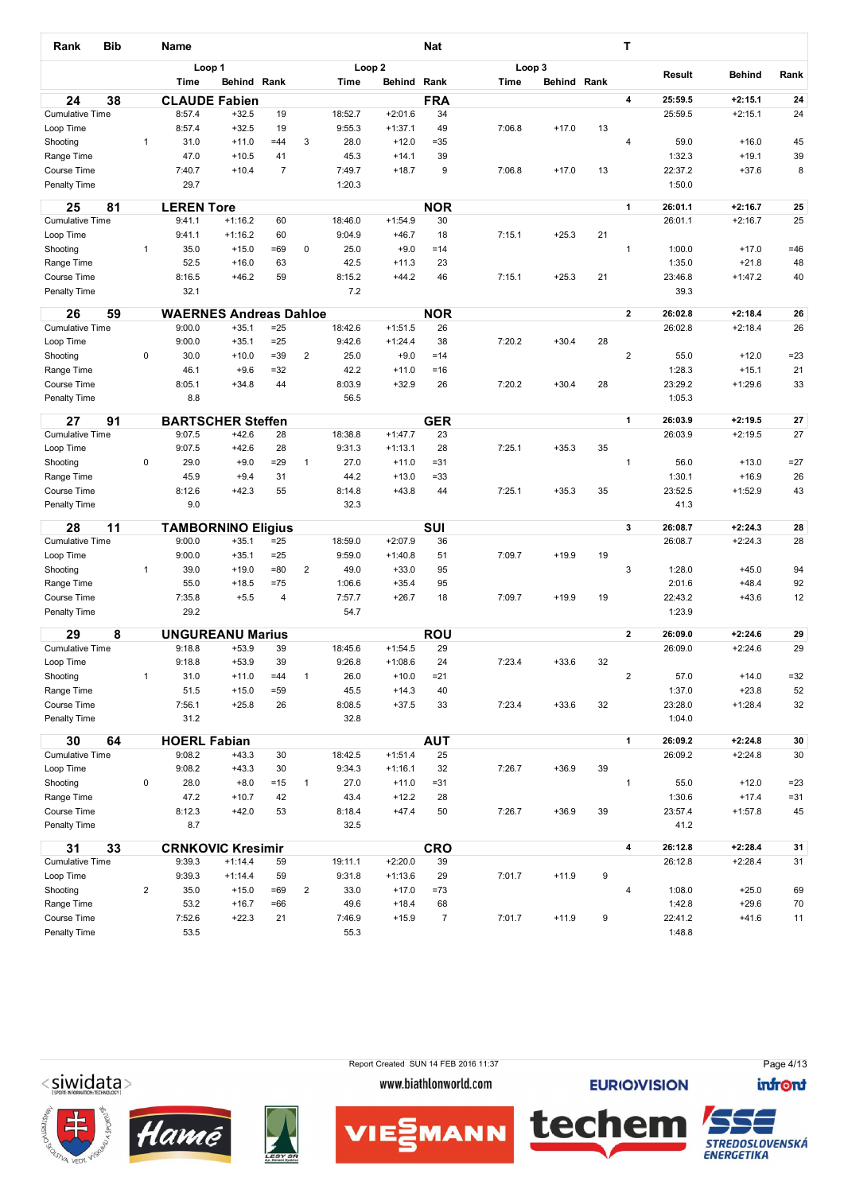| Rank                                | Bib |                | Name                          |                    |                |                |                   |                        | <b>Nat</b>     |        |             |    | т                       |                   |                    |                  |
|-------------------------------------|-----|----------------|-------------------------------|--------------------|----------------|----------------|-------------------|------------------------|----------------|--------|-------------|----|-------------------------|-------------------|--------------------|------------------|
|                                     |     |                | Loop 1                        |                    |                |                | Loop <sub>2</sub> |                        |                | Loop 3 |             |    |                         | Result            | <b>Behind</b>      | Rank             |
|                                     |     |                | Time                          | Behind Rank        |                |                | Time              | Behind                 | Rank           | Time   | Behind Rank |    |                         |                   |                    |                  |
| 24                                  | 38  |                | <b>CLAUDE Fabien</b>          |                    |                |                |                   |                        | <b>FRA</b>     |        |             |    | $\overline{\mathbf{4}}$ | 25:59.5           | $+2:15.1$          | 24               |
| <b>Cumulative Time</b>              |     |                | 8:57.4                        | $+32.5$            | 19             |                | 18:52.7           | $+2:01.6$              | 34             |        |             |    |                         | 25:59.5           | $+2:15.1$          | 24               |
| Loop Time                           |     |                | 8:57.4                        | $+32.5$            | 19             |                | 9:55.3            | $+1:37.1$              | 49             | 7:06.8 | $+17.0$     | 13 |                         |                   |                    |                  |
| Shooting                            |     | 1              | 31.0                          | $+11.0$            | $=44$          | 3              | 28.0              | $+12.0$                | $=35$          |        |             |    | 4                       | 59.0              | $+16.0$            | 45               |
| Range Time                          |     |                | 47.0                          | $+10.5$            | 41             |                | 45.3              | $+14.1$                | 39             |        |             |    |                         | 1:32.3            | $+19.1$            | 39               |
| Course Time<br>Penalty Time         |     |                | 7:40.7<br>29.7                | $+10.4$            | $\overline{7}$ |                | 7:49.7<br>1:20.3  | $+18.7$                | 9              | 7:06.8 | $+17.0$     | 13 |                         | 22:37.2<br>1:50.0 | $+37.6$            | 8                |
| 25                                  | 81  |                | <b>LEREN Tore</b>             |                    |                |                |                   |                        | <b>NOR</b>     |        |             |    | 1                       | 26:01.1           | $+2:16.7$          | 25               |
| <b>Cumulative Time</b>              |     |                | 9:41.1                        | $+1:16.2$          | 60             |                | 18:46.0           | $+1:54.9$              | 30             |        |             |    |                         | 26:01.1           | $+2:16.7$          | 25               |
| Loop Time                           |     |                | 9:41.1                        | $+1:16.2$          | 60             |                | 9:04.9            | $+46.7$                | 18             | 7:15.1 | $+25.3$     | 21 |                         |                   |                    |                  |
| Shooting                            |     | $\mathbf{1}$   | 35.0                          | $+15.0$            | $=69$          | 0              | 25.0              | $+9.0$                 | $=14$          |        |             |    | 1                       | 1:00.0            | $+17.0$            | $=46$            |
| Range Time                          |     |                | 52.5                          | $+16.0$            | 63             |                | 42.5              | $+11.3$                | 23             |        |             |    |                         | 1:35.0            | $+21.8$            | 48               |
| Course Time                         |     |                | 8:16.5                        | $+46.2$            | 59             |                | 8:15.2            | $+44.2$                | 46             | 7:15.1 | $+25.3$     | 21 |                         | 23:46.8           | $+1:47.2$          | 40               |
| Penalty Time                        |     |                | 32.1                          |                    |                |                | 7.2               |                        |                |        |             |    |                         | 39.3              |                    |                  |
| 26                                  | 59  |                | <b>WAERNES Andreas Dahloe</b> |                    |                |                |                   |                        | <b>NOR</b>     |        |             |    | $\overline{2}$          | 26:02.8           | $+2:18.4$          | 26               |
| <b>Cumulative Time</b>              |     |                | 9:00.0                        | $+35.1$            | $=25$          |                | 18:42.6           | $+1:51.5$              | 26             |        |             |    |                         | 26:02.8           | $+2:18.4$          | 26               |
| Loop Time                           |     |                | 9:00.0                        | $+35.1$            | $=25$          |                | 9:42.6            | $+1:24.4$              | 38             | 7:20.2 | $+30.4$     | 28 |                         |                   |                    |                  |
| Shooting                            |     | 0              | 30.0                          | $+10.0$            | $= 39$         | $\overline{2}$ | 25.0              | $+9.0$                 | $=14$          |        |             |    | $\overline{2}$          | 55.0              | $+12.0$            | $= 23$           |
| Range Time                          |     |                | 46.1<br>8:05.1                | $+9.6$             | $=32$<br>44    |                | 42.2<br>8:03.9    | $+11.0$<br>$+32.9$     | $=16$          |        | $+30.4$     | 28 |                         | 1:28.3<br>23:29.2 | $+15.1$            | 21<br>33         |
| Course Time<br>Penalty Time         |     |                | 8.8                           | $+34.8$            |                |                | 56.5              |                        | 26             | 7:20.2 |             |    |                         | 1:05.3            | $+1:29.6$          |                  |
|                                     |     |                |                               |                    |                |                |                   |                        |                |        |             |    |                         |                   |                    |                  |
| 27                                  | 91  |                | <b>BARTSCHER Steffen</b>      |                    |                |                |                   |                        | <b>GER</b>     |        |             |    | 1                       | 26:03.9           | $+2:19.5$          | 27               |
| <b>Cumulative Time</b><br>Loop Time |     |                | 9:07.5<br>9:07.5              | $+42.6$<br>$+42.6$ | 28<br>28       |                | 18:38.8<br>9:31.3 | $+1:47.7$<br>$+1:13.1$ | 23<br>28       | 7:25.1 | $+35.3$     | 35 |                         | 26:03.9           | $+2:19.5$          | 27               |
| Shooting                            |     | 0              | 29.0                          | $+9.0$             | $= 29$         | $\mathbf{1}$   | 27.0              | $+11.0$                | $= 31$         |        |             |    | $\mathbf{1}$            | 56.0              | $+13.0$            | $=27$            |
| Range Time                          |     |                | 45.9                          | $+9.4$             | 31             |                | 44.2              | $+13.0$                | $= 33$         |        |             |    |                         | 1:30.1            | $+16.9$            | 26               |
| Course Time                         |     |                | 8:12.6                        | $+42.3$            | 55             |                | 8:14.8            | $+43.8$                | 44             | 7:25.1 | $+35.3$     | 35 |                         | 23:52.5           | $+1:52.9$          | 43               |
| Penalty Time                        |     |                | 9.0                           |                    |                |                | 32.3              |                        |                |        |             |    |                         | 41.3              |                    |                  |
|                                     | 11  |                | <b>TAMBORNINO Eligius</b>     |                    |                |                |                   |                        | <b>SUI</b>     |        |             |    | 3                       | 26:08.7           | $+2:24.3$          | 28               |
| 28<br><b>Cumulative Time</b>        |     |                | 9:00.0                        | $+35.1$            | $=25$          |                | 18:59.0           | $+2:07.9$              | 36             |        |             |    |                         | 26:08.7           | $+2:24.3$          | 28               |
| Loop Time                           |     |                | 9:00.0                        | $+35.1$            | $=25$          |                | 9:59.0            | $+1:40.8$              | 51             | 7:09.7 | $+19.9$     | 19 |                         |                   |                    |                  |
| Shooting                            |     | $\mathbf{1}$   | 39.0                          | $+19.0$            | $= 80$         | 2              | 49.0              | $+33.0$                | 95             |        |             |    | 3                       | 1:28.0            | $+45.0$            | 94               |
| Range Time                          |     |                | 55.0                          | $+18.5$            | $=75$          |                | 1:06.6            | $+35.4$                | 95             |        |             |    |                         | 2:01.6            | $+48.4$            | 92               |
| Course Time                         |     |                | 7:35.8                        | $+5.5$             | $\overline{4}$ |                | 7:57.7            | $+26.7$                | 18             | 7:09.7 | $+19.9$     | 19 |                         | 22:43.2           | $+43.6$            | 12               |
| Penalty Time                        |     |                | 29.2                          |                    |                |                | 54.7              |                        |                |        |             |    |                         | 1:23.9            |                    |                  |
| 29                                  | 8   |                | <b>UNGUREANU Marius</b>       |                    |                |                |                   |                        | <b>ROU</b>     |        |             |    | $\mathbf{2}$            | 26:09.0           | $+2:24.6$          | 29               |
| <b>Cumulative Time</b>              |     |                | 9:18.8                        | $+53.9$            | 39             |                | 18:45.6           | $+1:54.5$              | 29             |        |             |    |                         | 26:09.0           | $+2:24.6$          | 29               |
| Loop Time                           |     |                | 9:18.8                        | $+53.9$            | 39             |                | 9:26.8            | $+1:08.6$              | 24             | 7:23.4 | $+33.6$     | 32 |                         |                   |                    |                  |
| Shooting                            |     | $\mathbf{1}$   | 31.0                          | $+11.0$            | $=44$          | $\mathbf{1}$   | 26.0              | $+10.0$                | $= 21$         |        |             |    | $\overline{\mathbf{c}}$ | 57.0              | $+14.0$            | $= 32$           |
| Range Time                          |     |                | 51.5                          | $+15.0$            | $= 59$         |                | 45.5              | $+14.3$                | 40             |        |             |    |                         | 1:37.0            | $+23.8$            | 52               |
| Course Time                         |     |                | 7:56.1                        | $+25.8$            | 26             |                | 8:08.5            | $+37.5$                | 33             | 7:23.4 | $+33.6$     | 32 |                         | 23:28.0           | $+1:28.4$          | 32               |
| Penalty Time                        |     |                | 31.2                          |                    |                |                | 32.8              |                        |                |        |             |    |                         | 1:04.0            |                    |                  |
| 30                                  | 64  |                | <b>HOERL Fabian</b>           |                    |                |                |                   |                        | <b>AUT</b>     |        |             |    | 1                       | 26:09.2           | $+2:24.8$          | 30               |
| <b>Cumulative Time</b>              |     |                | 9:08.2                        | $+43.3$            | 30             |                | 18:42.5           | $+1:51.4$              | 25             |        |             |    |                         | 26:09.2           | $+2:24.8$          | 30               |
| Loop Time                           |     |                | 9:08.2                        | $+43.3$            | 30             |                | 9:34.3            | $+1:16.1$              | 32             | 7:26.7 | $+36.9$     | 39 |                         |                   |                    |                  |
| Shooting<br>Range Time              |     | 0              | 28.0<br>47.2                  | $+8.0$<br>$+10.7$  | $=15$<br>42    | $\mathbf{1}$   | 27.0<br>43.4      | $+11.0$<br>$+12.2$     | $= 31$<br>28   |        |             |    | 1                       | 55.0<br>1:30.6    | $+12.0$<br>$+17.4$ | $= 23$<br>$= 31$ |
| Course Time                         |     |                | 8:12.3                        | $+42.0$            | 53             |                | 8:18.4            | $+47.4$                | 50             | 7:26.7 | $+36.9$     | 39 |                         | 23:57.4           | $+1:57.8$          | 45               |
| Penalty Time                        |     |                | 8.7                           |                    |                |                | 32.5              |                        |                |        |             |    |                         | 41.2              |                    |                  |
| 31                                  | 33  |                | <b>CRNKOVIC Kresimir</b>      |                    |                |                |                   |                        | <b>CRO</b>     |        |             |    | $\overline{\mathbf{4}}$ | 26:12.8           | $+2:28.4$          | 31               |
| <b>Cumulative Time</b>              |     |                | 9:39.3                        | $+1:14.4$          | 59             |                | 19:11.1           | $+2:20.0$              | 39             |        |             |    |                         | 26:12.8           | $+2:28.4$          | 31               |
| Loop Time                           |     |                | 9:39.3                        | $+1:14.4$          | 59             |                | 9:31.8            | $+1:13.6$              | 29             | 7:01.7 | $+11.9$     | 9  |                         |                   |                    |                  |
| Shooting                            |     | $\overline{c}$ | 35.0                          | $+15.0$            | $=69$          | $\overline{c}$ | 33.0              | $+17.0$                | =73            |        |             |    | 4                       | 1:08.0            | $+25.0$            | 69               |
| Range Time                          |     |                | 53.2                          | $+16.7$            | $=66$          |                | 49.6              | $+18.4$                | 68             |        |             |    |                         | 1:42.8            | $+29.6$            | 70               |
| Course Time                         |     |                | 7:52.6                        | $+22.3$            | 21             |                | 7:46.9            | $+15.9$                | $\overline{7}$ | 7:01.7 | $+11.9$     | 9  |                         | 22:41.2           | $+41.6$            | 11               |
| Penalty Time                        |     |                | 53.5                          |                    |                |                | 55.3              |                        |                |        |             |    |                         | 1:48.8            |                    |                  |
|                                     |     |                |                               |                    |                |                |                   |                        |                |        |             |    |                         |                   |                    |                  |

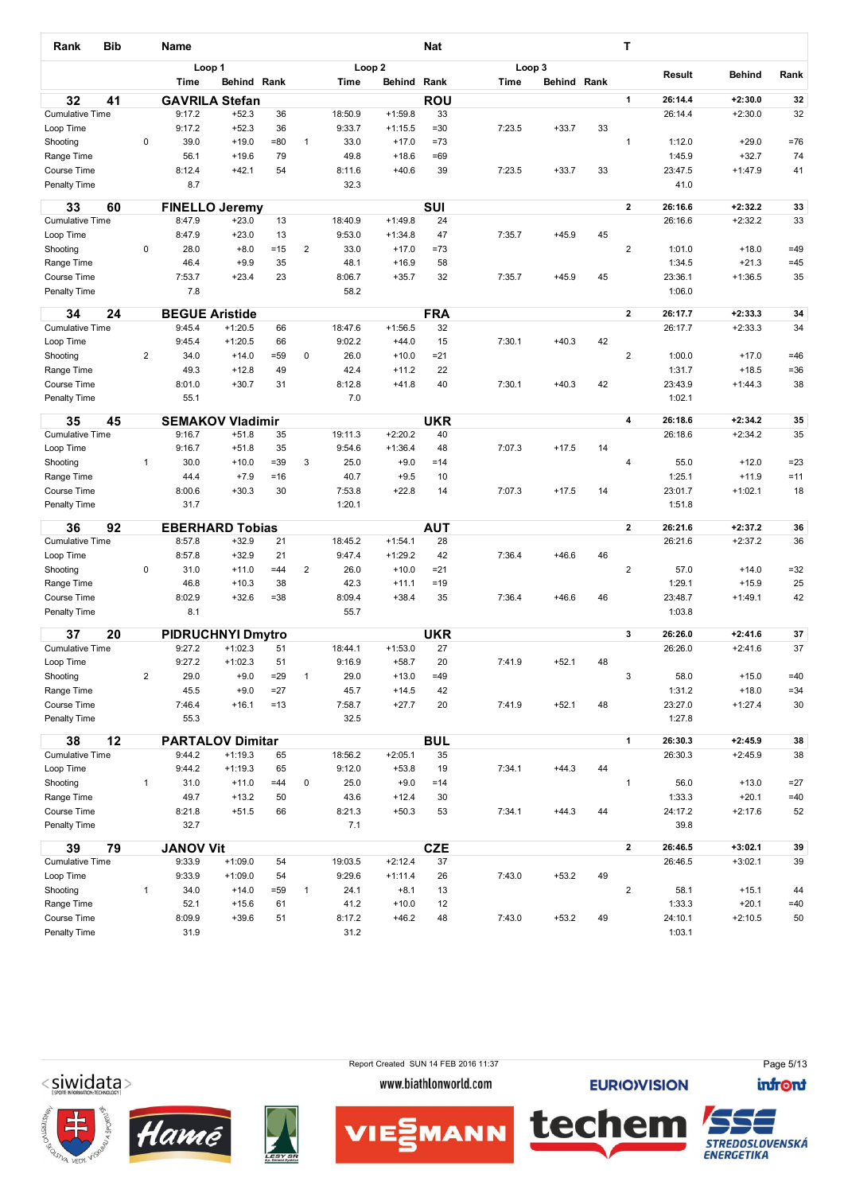| Rank                        | <b>Bib</b> |                         | Name                  |                          |                |                         |                |                    | <b>Nat</b>     |             |                    |    | т                       |                   |                    |                 |
|-----------------------------|------------|-------------------------|-----------------------|--------------------------|----------------|-------------------------|----------------|--------------------|----------------|-------------|--------------------|----|-------------------------|-------------------|--------------------|-----------------|
|                             |            |                         |                       | Loop 1                   |                |                         |                | Loop <sub>2</sub>  |                | Loop 3      |                    |    |                         | Result            | <b>Behind</b>      | Rank            |
|                             |            |                         | <b>Time</b>           | Behind Rank              |                |                         | <b>Time</b>    | Behind             | Rank           | <b>Time</b> | <b>Behind Rank</b> |    |                         |                   |                    |                 |
| 32                          | 41         |                         |                       | <b>GAVRILA Stefan</b>    |                |                         |                |                    | <b>ROU</b>     |             |                    |    | $\mathbf{1}$            | 26:14.4           | $+2:30.0$          | 32              |
| <b>Cumulative Time</b>      |            |                         | 9:17.2                | $+52.3$                  | 36             |                         | 18:50.9        | $+1:59.8$          | 33             |             |                    |    |                         | 26:14.4           | $+2:30.0$          | 32              |
| Loop Time                   |            |                         | 9:17.2                | $+52.3$                  | 36             |                         | 9:33.7         | $+1:15.5$          | $= 30$         | 7:23.5      | $+33.7$            | 33 |                         |                   |                    |                 |
| Shooting<br>Range Time      |            | 0                       | 39.0<br>56.1          | $+19.0$<br>$+19.6$       | $= 80$<br>79   | $\mathbf{1}$            | 33.0<br>49.8   | $+17.0$<br>$+18.6$ | $=73$<br>$=69$ |             |                    |    | 1                       | 1:12.0<br>1:45.9  | $+29.0$<br>$+32.7$ | $=76$<br>74     |
| Course Time                 |            |                         | 8:12.4                | $+42.1$                  | 54             |                         | 8:11.6         | $+40.6$            | 39             | 7:23.5      | $+33.7$            | 33 |                         | 23:47.5           | $+1:47.9$          | 41              |
| Penalty Time                |            |                         | 8.7                   |                          |                |                         | 32.3           |                    |                |             |                    |    |                         | 41.0              |                    |                 |
| 33                          | 60         |                         |                       | <b>FINELLO Jeremy</b>    |                |                         |                |                    | <b>SUI</b>     |             |                    |    | $\overline{2}$          | 26:16.6           | $+2:32.2$          | 33              |
| <b>Cumulative Time</b>      |            |                         | 8:47.9                | $+23.0$                  | 13             |                         | 18:40.9        | $+1:49.8$          | 24             |             |                    |    |                         | 26:16.6           | $+2:32.2$          | 33              |
| Loop Time                   |            |                         | 8:47.9                | $+23.0$                  | 13             |                         | 9:53.0         | $+1:34.8$          | 47             | 7:35.7      | $+45.9$            | 45 |                         |                   |                    |                 |
| Shooting                    |            | 0                       | 28.0<br>46.4          | $+8.0$<br>$+9.9$         | $=15$<br>35    | $\overline{\mathbf{c}}$ | 33.0<br>48.1   | $+17.0$<br>$+16.9$ | =73            |             |                    |    | $\overline{2}$          | 1:01.0            | $+18.0$<br>$+21.3$ | $=49$<br>$=45$  |
| Range Time<br>Course Time   |            |                         | 7:53.7                | $+23.4$                  | 23             |                         | 8:06.7         | $+35.7$            | 58<br>32       | 7:35.7      | $+45.9$            | 45 |                         | 1:34.5<br>23:36.1 | $+1:36.5$          | 35              |
| Penalty Time                |            |                         | 7.8                   |                          |                |                         | 58.2           |                    |                |             |                    |    |                         | 1:06.0            |                    |                 |
|                             |            |                         |                       |                          |                |                         |                |                    |                |             |                    |    |                         |                   |                    |                 |
| 34                          | 24         |                         | <b>BEGUE Aristide</b> |                          |                |                         |                |                    | <b>FRA</b>     |             |                    |    | $\mathbf{2}$            | 26:17.7           | $+2:33.3$          | 34              |
| <b>Cumulative Time</b>      |            |                         | 9:45.4                | $+1:20.5$                | 66             |                         | 18:47.6        | $+1:56.5$          | 32             |             |                    |    |                         | 26:17.7           | $+2:33.3$          | 34              |
| Loop Time                   |            | $\overline{2}$          | 9:45.4<br>34.0        | $+1:20.5$<br>$+14.0$     | 66<br>$= 59$   | 0                       | 9:02.2<br>26.0 | $+44.0$<br>$+10.0$ | 15<br>$= 21$   | 7:30.1      | $+40.3$            | 42 | $\overline{2}$          | 1:00.0            | $+17.0$            | $=46$           |
| Shooting<br>Range Time      |            |                         | 49.3                  | $+12.8$                  | 49             |                         | 42.4           | $+11.2$            | 22             |             |                    |    |                         | 1:31.7            | $+18.5$            | $= 36$          |
| Course Time                 |            |                         | 8:01.0                | $+30.7$                  | 31             |                         | 8:12.8         | $+41.8$            | 40             | 7:30.1      | $+40.3$            | 42 |                         | 23:43.9           | $+1:44.3$          | 38              |
| Penalty Time                |            |                         | 55.1                  |                          |                |                         | 7.0            |                    |                |             |                    |    |                         | 1:02.1            |                    |                 |
| 35                          | 45         |                         | <b>SEMAKOV</b>        | <b>Vladimir</b>          |                |                         |                |                    | <b>UKR</b>     |             |                    |    | 4                       | 26:18.6           | $+2:34.2$          | 35              |
| <b>Cumulative Time</b>      |            |                         | 9:16.7                | $+51.8$                  | 35             |                         | 19:11.3        | $+2:20.2$          | 40             |             |                    |    |                         | 26:18.6           | $+2:34.2$          | 35              |
| Loop Time                   |            |                         | 9:16.7                | $+51.8$                  | 35             |                         | 9:54.6         | $+1:36.4$          | 48             | 7:07.3      | $+17.5$            | 14 |                         |                   |                    |                 |
| Shooting                    |            | $\mathbf{1}$            | 30.0                  | $+10.0$                  | $= 39$         | 3                       | 25.0           | $+9.0$             | $=14$          |             |                    |    | 4                       | 55.0              | $+12.0$            | $= 23$          |
| Range Time                  |            |                         | 44.4                  | $+7.9$                   | $=16$          |                         | 40.7           | $+9.5$             | 10             |             |                    |    |                         | 1:25.1            | $+11.9$            | $=11$           |
| Course Time                 |            |                         | 8:00.6                | $+30.3$                  | 30             |                         | 7:53.8         | $+22.8$            | 14             | 7:07.3      | $+17.5$            | 14 |                         | 23:01.7           | $+1:02.1$          | 18              |
| Penalty Time                |            |                         | 31.7                  |                          |                |                         | 1:20.1         |                    |                |             |                    |    |                         | 1:51.8            |                    |                 |
| 36                          | 92         |                         |                       | <b>EBERHARD Tobias</b>   |                |                         |                |                    | <b>AUT</b>     |             |                    |    | $\mathbf{2}$            | 26:21.6           | $+2:37.2$          | 36              |
| <b>Cumulative Time</b>      |            |                         | 8:57.8                | $+32.9$                  | 21             |                         | 18:45.2        | $+1:54.1$          | 28             |             |                    |    |                         | 26:21.6           | $+2:37.2$          | 36              |
| Loop Time                   |            |                         | 8:57.8                | $+32.9$                  | 21             |                         | 9:47.4         | $+1:29.2$          | 42             | 7:36.4      | $+46.6$            | 46 |                         |                   |                    |                 |
| Shooting                    |            | 0                       | 31.0                  | $+11.0$                  | $=44$          | 2                       | 26.0           | $+10.0$            | $= 21$         |             |                    |    | $\overline{\mathbf{c}}$ | 57.0              | $+14.0$            | $= 32$          |
| Range Time                  |            |                         | 46.8                  | $+10.3$                  | 38             |                         | 42.3           | $+11.1$            | $=19$          |             |                    |    |                         | 1:29.1            | $+15.9$            | 25              |
| Course Time<br>Penalty Time |            |                         | 8:02.9<br>8.1         | $+32.6$                  | $= 38$         |                         | 8:09.4<br>55.7 | $+38.4$            | 35             | 7:36.4      | $+46.6$            | 46 |                         | 23:48.7<br>1:03.8 | $+1:49.1$          | 42              |
|                             |            |                         |                       |                          |                |                         |                |                    |                |             |                    |    |                         |                   |                    |                 |
| 37                          | 20         |                         |                       | <b>PIDRUCHNYI Dmytro</b> |                |                         |                |                    | <b>UKR</b>     |             |                    |    | 3                       | 26:26.0           | $+2:41.6$          | 37              |
| <b>Cumulative Time</b>      |            |                         | 9:27.2                | $+1:02.3$                | 51             |                         | 18:44.1        | $+1:53.0$          | 27             |             |                    |    |                         | 26:26.0           | $+2:41.6$          | 37              |
| Loop Time                   |            |                         | 9:27.2                | $+1:02.3$                | 51             |                         | 9:16.9         | $+58.7$            | 20             | 7:41.9      | $+52.1$            | 48 |                         |                   |                    |                 |
| Shooting<br>Range Time      |            | $\overline{\mathbf{c}}$ | 29.0<br>45.5          | $+9.0$<br>$+9.0$         | $=29$<br>$=27$ | $\mathbf{1}$            | 29.0<br>45.7   | $+13.0$<br>$+14.5$ | $=49$<br>42    |             |                    |    | 3                       | 58.0<br>1:31.2    | $+15.0$<br>$+18.0$ | $=40$<br>$= 34$ |
| Course Time                 |            |                         | 7:46.4                | $+16.1$                  | $=13$          |                         | 7:58.7         | $+27.7$            | 20             | 7:41.9      | $+52.1$            | 48 |                         | 23:27.0           | $+1:27.4$          | 30              |
| Penalty Time                |            |                         | 55.3                  |                          |                |                         | 32.5           |                    |                |             |                    |    |                         | 1:27.8            |                    |                 |
| 38                          | 12         |                         |                       | <b>PARTALOV Dimitar</b>  |                |                         |                |                    | <b>BUL</b>     |             |                    |    | $\mathbf{1}$            | 26:30.3           | $+2:45.9$          | 38              |
| <b>Cumulative Time</b>      |            |                         | 9:44.2                | $+1:19.3$                | 65             |                         | 18:56.2        | $+2:05.1$          | 35             |             |                    |    |                         | 26:30.3           | $+2:45.9$          | 38              |
| Loop Time                   |            |                         | 9:44.2                | $+1:19.3$                | 65             |                         | 9:12.0         | $+53.8$            | 19             | 7:34.1      | $+44.3$            | 44 |                         |                   |                    |                 |
| Shooting                    |            | $\mathbf{1}$            | 31.0                  | $+11.0$                  | $=44$          | 0                       | 25.0           | $+9.0$             | $=14$          |             |                    |    | 1                       | 56.0              | $+13.0$            | $= 27$          |
| Range Time                  |            |                         | 49.7                  | $+13.2$                  | 50             |                         | 43.6           | $+12.4$            | 30             |             |                    |    |                         | 1:33.3            | $+20.1$            | $=40$           |
| Course Time                 |            |                         | 8:21.8                | $+51.5$                  | 66             |                         | 8:21.3         | $+50.3$            | 53             | 7:34.1      | $+44.3$            | 44 |                         | 24:17.2           | $+2:17.6$          | 52              |
| Penalty Time                |            |                         | 32.7                  |                          |                |                         | 7.1            |                    |                |             |                    |    |                         | 39.8              |                    |                 |
| 39                          | 79         |                         | <b>JANOV Vit</b>      |                          |                |                         |                |                    | <b>CZE</b>     |             |                    |    | $\mathbf{2}$            | 26:46.5           | $+3:02.1$          | 39              |
| <b>Cumulative Time</b>      |            |                         | 9:33.9                | $+1:09.0$                | 54             |                         | 19:03.5        | $+2:12.4$          | 37             |             |                    |    |                         | 26:46.5           | $+3:02.1$          | 39              |
| Loop Time                   |            |                         | 9:33.9                | $+1:09.0$                | 54             |                         | 9:29.6         | $+1:11.4$          | 26             | 7:43.0      | $+53.2$            | 49 |                         |                   |                    |                 |
| Shooting<br>Range Time      |            | 1                       | 34.0<br>52.1          | $+14.0$<br>$+15.6$       | $= 59$<br>61   | $\mathbf{1}$            | 24.1<br>41.2   | $+8.1$<br>$+10.0$  | 13<br>12       |             |                    |    | $\overline{c}$          | 58.1<br>1:33.3    | $+15.1$<br>$+20.1$ | 44<br>$=40$     |
| Course Time                 |            |                         | 8:09.9                | $+39.6$                  | 51             |                         | 8:17.2         | $+46.2$            | 48             | 7:43.0      | $+53.2$            | 49 |                         | 24:10.1           | $+2:10.5$          | 50              |
| Penalty Time                |            |                         | 31.9                  |                          |                |                         | 31.2           |                    |                |             |                    |    |                         | 1:03.1            |                    |                 |
|                             |            |                         |                       |                          |                |                         |                |                    |                |             |                    |    |                         |                   |                    |                 |

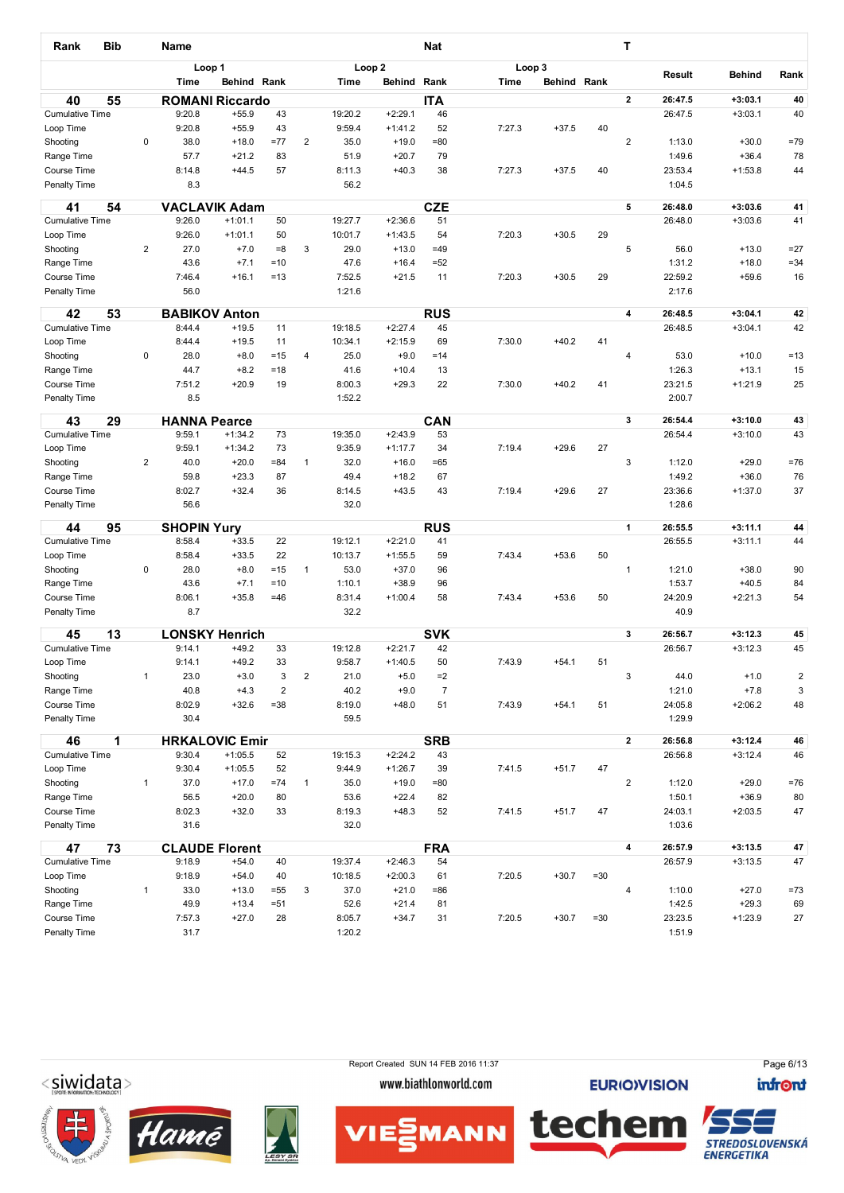| Rank                         | <b>Bib</b> |                | <b>Name</b>                    |                       |                     |                |                  |                      | <b>Nat</b>             |        |             |        | Т                       |                    |                        |                              |
|------------------------------|------------|----------------|--------------------------------|-----------------------|---------------------|----------------|------------------|----------------------|------------------------|--------|-------------|--------|-------------------------|--------------------|------------------------|------------------------------|
|                              |            |                | Loop 1                         |                       |                     |                |                  | Loop <sub>2</sub>    |                        | Loop 3 |             |        |                         | Result             | <b>Behind</b>          | Rank                         |
|                              |            |                | Time                           | Behind Rank           |                     |                | Time             | Behind               | Rank                   | Time   | Behind Rank |        |                         |                    |                        |                              |
| 40                           | 55         |                | <b>ROMANI Riccardo</b>         |                       |                     |                |                  |                      | <b>ITA</b>             |        |             |        | $\mathbf{2}$            | 26:47.5            | $+3:03.1$              | 40                           |
| <b>Cumulative Time</b>       |            |                | 9:20.8                         | $+55.9$               | 43                  |                | 19:20.2          | $+2:29.1$            | 46                     |        |             |        |                         | 26:47.5            | $+3:03.1$              | 40                           |
| Loop Time                    |            |                | 9:20.8                         | $+55.9$               | 43                  |                | 9:59.4           | $+1:41.2$            | 52                     | 7:27.3 | $+37.5$     | 40     |                         |                    |                        |                              |
| Shooting                     |            | 0              | 38.0<br>57.7                   | $+18.0$               | $=77$<br>83         | $\overline{2}$ | 35.0<br>51.9     | $+19.0$<br>$+20.7$   | =80<br>79              |        |             |        | $\overline{\mathbf{c}}$ | 1:13.0<br>1:49.6   | $+30.0$<br>$+36.4$     | $=79$                        |
| Range Time<br>Course Time    |            |                | 8:14.8                         | $+21.2$<br>$+44.5$    | 57                  |                | 8:11.3           | $+40.3$              | 38                     | 7:27.3 | $+37.5$     | 40     |                         | 23:53.4            | $+1:53.8$              | 78<br>44                     |
| Penalty Time                 |            |                | 8.3                            |                       |                     |                | 56.2             |                      |                        |        |             |        |                         | 1:04.5             |                        |                              |
| 41                           | 54         |                | <b>VACLAVIK Adam</b>           |                       |                     |                |                  |                      | <b>CZE</b>             |        |             |        | 5                       | 26:48.0            | $+3:03.6$              | 41                           |
| <b>Cumulative Time</b>       |            |                | 9:26.0                         | $+1:01.1$             | 50                  |                | 19:27.7          | $+2:36.6$            | 51                     |        |             |        |                         | 26:48.0            | $+3:03.6$              | 41                           |
| Loop Time<br>Shooting        |            | $\overline{2}$ | 9:26.0<br>27.0                 | $+1:01.1$<br>$+7.0$   | 50<br>$= 8$         | 3              | 10:01.7<br>29.0  | $+1:43.5$<br>$+13.0$ | 54<br>$=49$            | 7:20.3 | $+30.5$     | 29     | 5                       | 56.0               | $+13.0$                | $=27$                        |
| Range Time                   |            |                | 43.6                           | $+7.1$                | $=10$               |                | 47.6             | $+16.4$              | $= 52$                 |        |             |        |                         | 1:31.2             | $+18.0$                | $= 34$                       |
| Course Time                  |            |                | 7:46.4                         | $+16.1$               | $=13$               |                | 7:52.5           | $+21.5$              | 11                     | 7:20.3 | $+30.5$     | 29     |                         | 22:59.2            | $+59.6$                | 16                           |
| Penalty Time                 |            |                | 56.0                           |                       |                     |                | 1:21.6           |                      |                        |        |             |        |                         | 2:17.6             |                        |                              |
|                              |            |                |                                |                       |                     |                |                  |                      |                        |        |             |        |                         |                    |                        |                              |
| 42<br><b>Cumulative Time</b> | 53         |                | <b>BABIKOV Anton</b><br>8:44.4 | $+19.5$               | 11                  |                | 19:18.5          | $+2:27.4$            | <b>RUS</b><br>45       |        |             |        | $\overline{\mathbf{4}}$ | 26:48.5<br>26:48.5 | $+3:04.1$<br>$+3:04.1$ | 42<br>42                     |
| Loop Time                    |            |                | 8:44.4                         | $+19.5$               | 11                  |                | 10:34.1          | $+2:15.9$            | 69                     | 7:30.0 | $+40.2$     | 41     |                         |                    |                        |                              |
| Shooting                     |            | 0              | 28.0                           | $+8.0$                | $=15$               | 4              | 25.0             | $+9.0$               | $=14$                  |        |             |        | 4                       | 53.0               | $+10.0$                | $=13$                        |
| Range Time                   |            |                | 44.7                           | $+8.2$                | $=18$               |                | 41.6             | $+10.4$              | 13                     |        |             |        |                         | 1:26.3             | $+13.1$                | 15                           |
| Course Time                  |            |                | 7:51.2                         | $+20.9$               | 19                  |                | 8:00.3           | $+29.3$              | 22                     | 7:30.0 | $+40.2$     | 41     |                         | 23:21.5            | $+1:21.9$              | 25                           |
| Penalty Time                 |            |                | 8.5                            |                       |                     |                | 1:52.2           |                      |                        |        |             |        |                         | 2:00.7             |                        |                              |
| 43                           | 29         |                | <b>HANNA Pearce</b>            |                       |                     |                |                  |                      | CAN                    |        |             |        | 3                       | 26:54.4            | $+3:10.0$              | 43                           |
| <b>Cumulative Time</b>       |            |                | 9:59.1                         | $+1:34.2$             | 73                  |                | 19:35.0          | $+2:43.9$            | 53                     |        |             |        |                         | 26:54.4            | $+3:10.0$              | 43                           |
| Loop Time                    |            |                | 9:59.1                         | $+1:34.2$             | 73                  |                | 9:35.9           | $+1:17.7$            | 34                     | 7:19.4 | $+29.6$     | 27     |                         |                    |                        |                              |
| Shooting                     |            | $\overline{2}$ | 40.0                           | $+20.0$               | $= 84$              | 1              | 32.0             | $+16.0$              | $=65$                  |        |             |        | 3                       | 1:12.0             | $+29.0$                | $=76$                        |
| Range Time                   |            |                | 59.8                           | $+23.3$               | 87                  |                | 49.4             | $+18.2$              | 67                     |        |             |        |                         | 1:49.2             | $+36.0$                | 76                           |
| Course Time                  |            |                | 8:02.7                         | $+32.4$               | 36                  |                | 8:14.5           | $+43.5$              | 43                     | 7:19.4 | $+29.6$     | 27     |                         | 23:36.6            | $+1:37.0$              | 37                           |
| Penalty Time                 |            |                | 56.6                           |                       |                     |                | 32.0             |                      |                        |        |             |        |                         | 1:28.6             |                        |                              |
| 44                           | 95         |                | <b>SHOPIN Yury</b>             |                       |                     |                |                  |                      | <b>RUS</b>             |        |             |        | 1                       | 26:55.5            | $+3:11.1$              | 44                           |
| <b>Cumulative Time</b>       |            |                | 8:58.4                         | $+33.5$               | 22                  |                | 19:12.1          | $+2:21.0$            | 41                     |        |             |        |                         | 26:55.5            | $+3:11.1$              | 44                           |
| Loop Time                    |            |                | 8:58.4                         | $+33.5$               | 22                  |                | 10:13.7          | $+1:55.5$            | 59                     | 7:43.4 | $+53.6$     | 50     |                         |                    |                        |                              |
| Shooting                     |            | 0              | 28.0                           | $+8.0$                | $=15$               | $\mathbf{1}$   | 53.0             | $+37.0$              | 96                     |        |             |        | 1                       | 1:21.0             | $+38.0$                | 90                           |
| Range Time                   |            |                | 43.6                           | $+7.1$                | $=10$               |                | 1:10.1           | $+38.9$              | 96                     |        |             |        |                         | 1:53.7             | $+40.5$                | 84                           |
| Course Time                  |            |                | 8:06.1                         | $+35.8$               | $=46$               |                | 8:31.4           | $+1:00.4$            | 58                     | 7:43.4 | $+53.6$     | 50     |                         | 24:20.9            | $+2:21.3$              | 54                           |
| Penalty Time                 |            |                | 8.7                            |                       |                     |                | 32.2             |                      |                        |        |             |        |                         | 40.9               |                        |                              |
| 45                           | 13         |                | <b>LONSKY Henrich</b>          |                       |                     |                |                  |                      | <b>SVK</b>             |        |             |        | 3                       | 26:56.7            | $+3:12.3$              | 45                           |
| <b>Cumulative Time</b>       |            |                | 9:14.1                         | $+49.2$               | 33                  |                | 19:12.8          | $+2:21.7$            | 42                     |        |             |        |                         | 26:56.7            | $+3:12.3$              | 45                           |
| Loop Time                    |            | $\mathbf{1}$   | 9:14.1                         | $+49.2$               | 33                  |                | 9:58.7           | $+1:40.5$            | 50                     | 7:43.9 | $+54.1$     | 51     |                         |                    |                        |                              |
| Shooting<br>Range Time       |            |                | 23.0<br>40.8                   | $+3.0$<br>$+4.3$      | 3<br>$\overline{2}$ | $\mathbf 2$    | 21.0<br>40.2     | $+5.0$<br>$+9.0$     | $=2$<br>$\overline{7}$ |        |             |        | 3                       | 44.0<br>1:21.0     | $+1.0$<br>$+7.8$       | $\overline{\mathbf{c}}$<br>3 |
| Course Time                  |            |                | 8:02.9                         | $+32.6$               | $= 38$              |                | 8:19.0           | $+48.0$              | 51                     | 7:43.9 | $+54.1$     | 51     |                         | 24:05.8            | $+2:06.2$              | 48                           |
| Penalty Time                 |            |                | 30.4                           |                       |                     |                | 59.5             |                      |                        |        |             |        |                         | 1:29.9             |                        |                              |
| 46                           | 1          |                | <b>HRKALOVIC Emir</b>          |                       |                     |                |                  |                      | <b>SRB</b>             |        |             |        | $\mathbf{2}$            | 26:56.8            | $+3:12.4$              | 46                           |
| <b>Cumulative Time</b>       |            |                | 9:30.4                         | $+1:05.5$             | 52                  |                | 19:15.3          | $+2:24.2$            | 43                     |        |             |        |                         | 26:56.8            | $+3:12.4$              | 46                           |
| Loop Time                    |            |                | 9:30.4                         | $+1:05.5$             | 52                  |                | 9:44.9           | $+1:26.7$            | 39                     | 7:41.5 | $+51.7$     | 47     |                         |                    |                        |                              |
| Shooting                     |            | $\mathbf{1}$   | 37.0                           | $+17.0$               | $=74$               | $\mathbf{1}$   | 35.0             | $+19.0$              | =80                    |        |             |        | $\overline{c}$          | 1:12.0             | $+29.0$                | $=76$                        |
| Range Time                   |            |                | 56.5                           | $+20.0$               | 80                  |                | 53.6             | $+22.4$              | 82                     |        |             |        |                         | 1:50.1             | $+36.9$                | 80                           |
| Course Time                  |            |                | 8:02.3                         | $+32.0$               | 33                  |                | 8:19.3           | $+48.3$              | 52                     | 7:41.5 | $+51.7$     | 47     |                         | 24:03.1            | $+2:03.5$              | 47                           |
| Penalty Time                 |            |                | 31.6                           |                       |                     |                | 32.0             |                      |                        |        |             |        |                         | 1:03.6             |                        |                              |
| 47                           | 73         |                |                                | <b>CLAUDE Florent</b> |                     |                |                  |                      | <b>FRA</b>             |        |             |        | $\overline{\mathbf{4}}$ | 26:57.9            | $+3:13.5$              | 47                           |
| <b>Cumulative Time</b>       |            |                | 9:18.9                         | $+54.0$               | 40                  |                | 19:37.4          | $+2:46.3$            | 54                     |        |             |        |                         | 26:57.9            | $+3:13.5$              | 47                           |
| Loop Time                    |            |                | 9:18.9                         | $+54.0$               | 40                  |                | 10:18.5          | $+2:00.3$            | 61                     | 7:20.5 | $+30.7$     | $= 30$ |                         |                    |                        |                              |
| Shooting                     |            | $\mathbf{1}$   | 33.0                           | $+13.0$               | $= 55$              | 3              | 37.0             | $+21.0$              | =86                    |        |             |        | 4                       | 1:10.0             | $+27.0$                | $=73$                        |
| Range Time                   |            |                | 49.9                           | $+13.4$               | $= 51$              |                | 52.6             | $+21.4$              | 81                     |        |             |        |                         | 1:42.5             | $+29.3$                | 69                           |
| Course Time<br>Penalty Time  |            |                | 7:57.3<br>31.7                 | $+27.0$               | 28                  |                | 8:05.7<br>1:20.2 | $+34.7$              | 31                     | 7:20.5 | $+30.7$     | $= 30$ |                         | 23:23.5<br>1:51.9  | $+1:23.9$              | 27                           |
|                              |            |                |                                |                       |                     |                |                  |                      |                        |        |             |        |                         |                    |                        |                              |

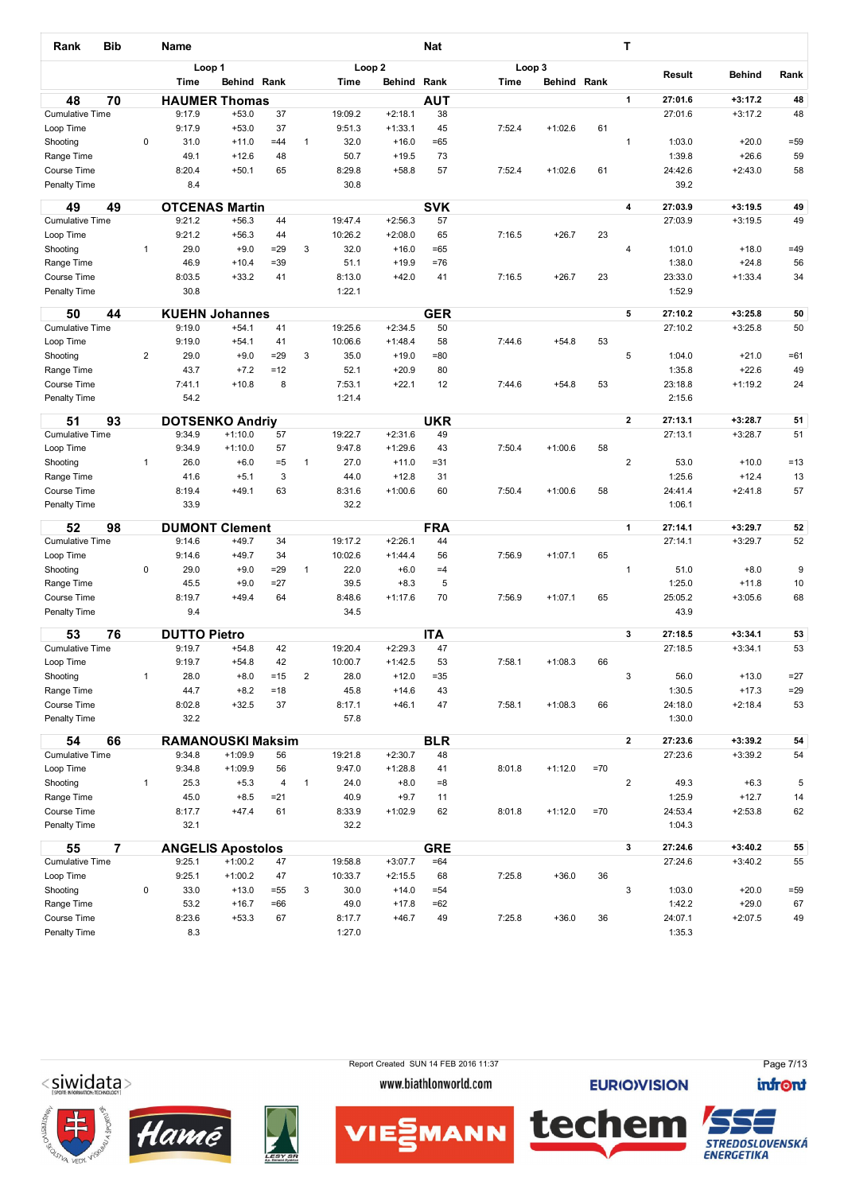| Rank                                | <b>Bib</b>     |                | <b>Name</b>                      |                    |              |                         |                   |                      | <b>Nat</b>       |        |             |       | Т                       |                    |                        |              |
|-------------------------------------|----------------|----------------|----------------------------------|--------------------|--------------|-------------------------|-------------------|----------------------|------------------|--------|-------------|-------|-------------------------|--------------------|------------------------|--------------|
|                                     |                |                | Loop 1                           |                    |              |                         | Loop <sub>2</sub> |                      |                  |        | Loop 3      |       |                         |                    |                        |              |
|                                     |                |                | Time                             | Behind Rank        |              |                         | Time              | Behind               | Rank             | Time   | Behind Rank |       |                         | Result             | <b>Behind</b>          | Rank         |
| 48                                  | 70             |                | <b>HAUMER Thomas</b>             |                    |              |                         |                   |                      | <b>AUT</b>       |        |             |       | 1                       | 27:01.6            | $+3:17.2$              | 48           |
| <b>Cumulative Time</b>              |                |                | 9:17.9                           | $+53.0$            | 37           |                         | 19:09.2           | $+2:18.1$            | 38               |        |             |       |                         | 27:01.6            | $+3:17.2$              | 48           |
| Loop Time                           |                |                | 9:17.9                           | $+53.0$            | 37           |                         | 9:51.3            | $+1:33.1$            | 45               | 7:52.4 | $+1:02.6$   | 61    |                         |                    |                        |              |
| Shooting                            |                | 0              | 31.0                             | $+11.0$            | $=44$        | 1                       | 32.0              | $+16.0$              | $=65$            |        |             |       | 1                       | 1:03.0             | $+20.0$                | $= 59$       |
| Range Time                          |                |                | 49.1                             | $+12.6$            | 48           |                         | 50.7              | $+19.5$              | 73               |        |             |       |                         | 1:39.8             | $+26.6$                | 59           |
| Course Time<br>Penalty Time         |                |                | 8:20.4<br>8.4                    | $+50.1$            | 65           |                         | 8:29.8<br>30.8    | $+58.8$              | 57               | 7:52.4 | $+1:02.6$   | 61    |                         | 24:42.6<br>39.2    | $+2:43.0$              | 58           |
|                                     |                |                |                                  |                    |              |                         |                   |                      |                  |        |             |       |                         |                    |                        |              |
| 49                                  | 49             |                | <b>OTCENAS Martin</b>            |                    |              |                         |                   |                      | <b>SVK</b>       |        |             |       | $\overline{\mathbf{4}}$ | 27:03.9            | $+3:19.5$              | 49           |
| <b>Cumulative Time</b>              |                |                | 9:21.2                           | $+56.3$            | 44           |                         | 19:47.4           | $+2:56.3$            | 57               |        |             |       |                         | 27:03.9            | $+3:19.5$              | 49           |
| Loop Time<br>Shooting               |                | $\mathbf{1}$   | 9:21.2<br>29.0                   | $+56.3$<br>$+9.0$  | 44<br>$= 29$ | 3                       | 10:26.2<br>32.0   | $+2:08.0$<br>$+16.0$ | 65<br>$=65$      | 7:16.5 | $+26.7$     | 23    | 4                       | 1:01.0             | $+18.0$                | $=49$        |
| Range Time                          |                |                | 46.9                             | $+10.4$            | $= 39$       |                         | 51.1              | $+19.9$              | $=76$            |        |             |       |                         | 1:38.0             | $+24.8$                | 56           |
| Course Time                         |                |                | 8:03.5                           | $+33.2$            | 41           |                         | 8:13.0            | $+42.0$              | 41               | 7:16.5 | $+26.7$     | 23    |                         | 23:33.0            | $+1:33.4$              | 34           |
| Penalty Time                        |                |                | 30.8                             |                    |              |                         | 1:22.1            |                      |                  |        |             |       |                         | 1:52.9             |                        |              |
|                                     |                |                |                                  |                    |              |                         |                   |                      |                  |        |             |       |                         |                    |                        |              |
| 50                                  | 44             |                | <b>KUEHN Johannes</b>            |                    |              |                         |                   |                      | <b>GER</b>       |        |             |       | 5                       | 27:10.2            | $+3:25.8$              | 50           |
| <b>Cumulative Time</b>              |                |                | 9:19.0                           | $+54.1$            | 41           |                         | 19:25.6           | $+2:34.5$            | 50               |        |             |       |                         | 27:10.2            | $+3:25.8$              | 50           |
| Loop Time                           |                | $\overline{2}$ | 9:19.0<br>29.0                   | $+54.1$            | 41<br>$= 29$ | 3                       | 10:06.6<br>35.0   | $+1:48.4$<br>$+19.0$ | 58<br>$= 80$     | 7:44.6 | $+54.8$     | 53    | 5                       | 1:04.0             | $+21.0$                | $=61$        |
| Shooting<br>Range Time              |                |                | 43.7                             | $+9.0$<br>$+7.2$   | $=12$        |                         | 52.1              | $+20.9$              | 80               |        |             |       |                         | 1:35.8             | $+22.6$                | 49           |
| Course Time                         |                |                | 7:41.1                           | $+10.8$            | 8            |                         | 7:53.1            | $+22.1$              | 12               | 7:44.6 | $+54.8$     | 53    |                         | 23:18.8            | $+1:19.2$              | 24           |
| Penalty Time                        |                |                | 54.2                             |                    |              |                         | 1:21.4            |                      |                  |        |             |       |                         | 2:15.6             |                        |              |
|                                     |                |                |                                  |                    |              |                         |                   |                      |                  |        |             |       |                         |                    |                        |              |
| 51                                  | 93             |                | <b>DOTSENKO Andriy</b><br>9:34.9 | $+1:10.0$          | 57           |                         | 19:22.7           | $+2:31.6$            | <b>UKR</b><br>49 |        |             |       | $\mathbf{2}$            | 27:13.1<br>27:13.1 | $+3:28.7$<br>$+3:28.7$ | 51<br>51     |
| <b>Cumulative Time</b><br>Loop Time |                |                | 9:34.9                           | $+1:10.0$          | 57           |                         | 9:47.8            | $+1:29.6$            | 43               | 7:50.4 | $+1:00.6$   | 58    |                         |                    |                        |              |
| Shooting                            |                | 1              | 26.0                             | $+6.0$             | $= 5$        | $\mathbf{1}$            | 27.0              | $+11.0$              | $= 31$           |        |             |       | $\overline{2}$          | 53.0               | $+10.0$                | $=13$        |
| Range Time                          |                |                | 41.6                             | $+5.1$             | 3            |                         | 44.0              | $+12.8$              | 31               |        |             |       |                         | 1:25.6             | $+12.4$                | 13           |
| Course Time                         |                |                | 8:19.4                           | $+49.1$            | 63           |                         | 8:31.6            | $+1:00.6$            | 60               | 7:50.4 | $+1:00.6$   | 58    |                         | 24:41.4            | $+2:41.8$              | 57           |
| Penalty Time                        |                |                | 33.9                             |                    |              |                         | 32.2              |                      |                  |        |             |       |                         | 1:06.1             |                        |              |
| 52                                  | 98             |                | <b>DUMONT Clement</b>            |                    |              |                         |                   |                      | <b>FRA</b>       |        |             |       | 1                       | 27:14.1            | $+3:29.7$              | 52           |
| <b>Cumulative Time</b>              |                |                | 9:14.6                           | $+49.7$            | 34           |                         | 19:17.2           | $+2:26.1$            | 44               |        |             |       |                         | 27:14.1            | $+3:29.7$              | 52           |
| Loop Time                           |                |                | 9:14.6                           | $+49.7$            | 34           |                         | 10:02.6           | $+1:44.4$            | 56               | 7:56.9 | $+1:07.1$   | 65    |                         |                    |                        |              |
| Shooting                            |                | 0              | 29.0                             | $+9.0$             | $= 29$       | $\mathbf{1}$            | 22.0              | $+6.0$               | $=4$             |        |             |       | 1                       | 51.0               | $+8.0$                 | 9            |
| Range Time                          |                |                | 45.5                             | $+9.0$             | $=27$        |                         | 39.5              | $+8.3$               | 5                |        |             |       |                         | 1:25.0             | $+11.8$                | 10           |
| Course Time                         |                |                | 8:19.7                           | $+49.4$            | 64           |                         | 8:48.6            | $+1:17.6$            | 70               | 7:56.9 | $+1:07.1$   | 65    |                         | 25:05.2            | $+3:05.6$              | 68           |
| Penalty Time                        |                |                | 9.4                              |                    |              |                         | 34.5              |                      |                  |        |             |       |                         | 43.9               |                        |              |
| 53                                  | 76             |                | <b>DUTTO Pietro</b>              |                    |              |                         |                   |                      | <b>ITA</b>       |        |             |       | 3                       | 27:18.5            | $+3:34.1$              | 53           |
| <b>Cumulative Time</b>              |                |                | 9:19.7                           | $+54.8$            | 42           |                         | 19:20.4           | $+2:29.3$            | 47               |        |             |       |                         | 27:18.5            | $+3:34.1$              | 53           |
| Loop Time                           |                |                | 9:19.7                           | $+54.8$            | 42           |                         | 10:00.7           | $+1:42.5$            | 53               | 7:58.1 | $+1:08.3$   | 66    |                         |                    |                        |              |
| Shooting                            |                | $\mathbf{1}$   | 28.0                             | $+8.0$             | $=15$        | $\overline{\mathbf{c}}$ | 28.0              | $+12.0$              | $= 35$           |        |             |       | 3                       | 56.0               | $+13.0$                | $=27$        |
| Range Time                          |                |                | 44.7                             | $+8.2$             | $=18$        |                         | 45.8              | $+14.6$              | 43               |        |             |       |                         | 1:30.5             | $+17.3$                | $= 29$       |
| Course Time                         |                |                | 8:02.8                           | $+32.5$            | 37           |                         | 8:17.1            | $+46.1$              | 47               | 7:58.1 | $+1:08.3$   | 66    |                         | 24:18.0            | $+2:18.4$              | 53           |
| Penalty Time                        |                |                | 32.2                             |                    |              |                         | 57.8              |                      |                  |        |             |       |                         | 1:30.0             |                        |              |
| 54                                  | 66             |                | <b>RAMANOUSKI Maksim</b>         |                    |              |                         |                   |                      | <b>BLR</b>       |        |             |       | $\mathbf{2}$            | 27:23.6            | $+3:39.2$              | 54           |
| <b>Cumulative Time</b>              |                |                | 9:34.8                           | $+1:09.9$          | 56           |                         | 19:21.8           | $+2:30.7$            | 48               |        |             |       |                         | 27:23.6            | $+3:39.2$              | 54           |
| Loop Time                           |                |                | 9:34.8                           | $+1:09.9$          | 56           |                         | 9:47.0            | $+1:28.8$            | 41               | 8:01.8 | $+1:12.0$   | $=70$ |                         |                    |                        |              |
| Shooting                            |                | $\mathbf{1}$   | 25.3                             | $+5.3$             | 4            | $\mathbf{1}$            | 24.0              | $+8.0$               | $= 8$            |        |             |       | $\overline{c}$          | 49.3               | $+6.3$                 | 5            |
| Range Time                          |                |                | 45.0                             | $+8.5$             | $= 21$       |                         | 40.9              | $+9.7$               | 11               |        |             |       |                         | 1:25.9             | $+12.7$                | 14           |
| Course Time                         |                |                | 8:17.7                           | $+47.4$            | 61           |                         | 8:33.9            | $+1:02.9$            | 62               | 8:01.8 | $+1:12.0$   | $=70$ |                         | 24:53.4            | $+2:53.8$              | 62           |
| Penalty Time                        |                |                | 32.1                             |                    |              |                         | 32.2              |                      |                  |        |             |       |                         | 1:04.3             |                        |              |
| 55                                  | $\overline{7}$ |                | <b>ANGELIS Apostolos</b>         |                    |              |                         |                   |                      | <b>GRE</b>       |        |             |       | 3                       | 27:24.6            | $+3:40.2$              | 55           |
| <b>Cumulative Time</b>              |                |                | 9:25.1                           | $+1:00.2$          | 47           |                         | 19:58.8           | $+3:07.7$            | $=64$            |        |             |       |                         | 27:24.6            | $+3:40.2$              | 55           |
| Loop Time                           |                |                | 9:25.1                           | $+1:00.2$          | 47           |                         | 10:33.7           | $+2:15.5$            | 68               | 7:25.8 | $+36.0$     | 36    |                         |                    |                        |              |
| Shooting                            |                | 0              | 33.0<br>53.2                     | $+13.0$<br>$+16.7$ | $= 55$       | 3                       | 30.0<br>49.0      | $+14.0$<br>$+17.8$   | $= 54$           |        |             |       | 3                       | 1:03.0<br>1:42.2   | $+20.0$<br>$+29.0$     | $= 59$<br>67 |
| Range Time<br>Course Time           |                |                | 8:23.6                           | $+53.3$            | $=66$<br>67  |                         | 8:17.7            | $+46.7$              | $=62$<br>49      | 7:25.8 | $+36.0$     | 36    |                         | 24:07.1            | $+2:07.5$              | 49           |
| Penalty Time                        |                |                | 8.3                              |                    |              |                         | 1:27.0            |                      |                  |        |             |       |                         | 1:35.3             |                        |              |
|                                     |                |                |                                  |                    |              |                         |                   |                      |                  |        |             |       |                         |                    |                        |              |











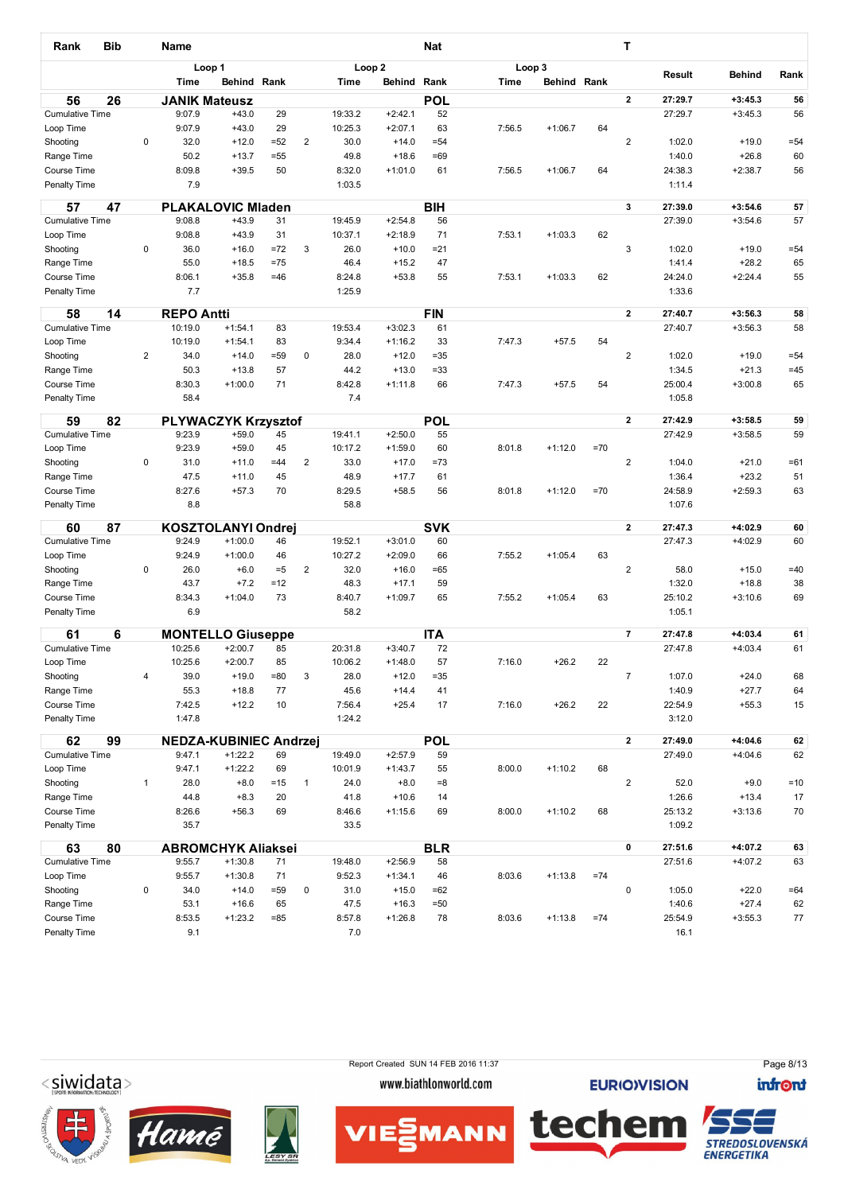| Rank                               | <b>Bib</b> |                | <b>Name</b>          |                                       |                |                |                 |                        | Nat              |        |             |       | т                       |                    |                        |             |
|------------------------------------|------------|----------------|----------------------|---------------------------------------|----------------|----------------|-----------------|------------------------|------------------|--------|-------------|-------|-------------------------|--------------------|------------------------|-------------|
|                                    |            |                |                      | Loop 1                                |                |                |                 | Loop <sub>2</sub>      |                  |        | Loop 3      |       |                         | Result             | <b>Behind</b>          | Rank        |
|                                    |            |                | Time                 | Behind Rank                           |                |                | Time            | Behind Rank            |                  | Time   | Behind Rank |       |                         |                    |                        |             |
| 56                                 | 26         |                | <b>JANIK Mateusz</b> |                                       |                |                |                 |                        | <b>POL</b>       |        |             |       | $\mathbf{2}$            | 27:29.7            | $+3:45.3$              | 56          |
| <b>Cumulative Time</b>             |            |                | 9:07.9<br>9:07.9     | $+43.0$                               | 29             |                | 19:33.2         | $+2:42.1$              | 52               |        |             | 64    |                         | 27:29.7            | $+3:45.3$              | 56          |
| Loop Time<br>Shooting              |            | 0              | 32.0                 | $+43.0$<br>$+12.0$                    | 29<br>$= 52$   | $\overline{2}$ | 10:25.3<br>30.0 | $+2:07.1$<br>$+14.0$   | 63<br>$= 54$     | 7:56.5 | $+1:06.7$   |       | $\overline{2}$          | 1:02.0             | $+19.0$                | $= 54$      |
| Range Time                         |            |                | 50.2                 | $+13.7$                               | $= 55$         |                | 49.8            | $+18.6$                | =69              |        |             |       |                         | 1:40.0             | $+26.8$                | 60          |
| Course Time                        |            |                | 8:09.8               | $+39.5$                               | 50             |                | 8:32.0          | $+1:01.0$              | 61               | 7:56.5 | $+1:06.7$   | 64    |                         | 24:38.3            | $+2:38.7$              | 56          |
| Penalty Time                       |            |                | 7.9                  |                                       |                |                | 1:03.5          |                        |                  |        |             |       |                         | 1:11.4             |                        |             |
| 57                                 | 47         |                |                      | <b>PLAKALOVIC Mladen</b>              |                |                |                 |                        | <b>BIH</b>       |        |             |       | 3                       | 27:39.0            | $+3:54.6$              | 57          |
| <b>Cumulative Time</b>             |            |                | 9:08.8               | $+43.9$                               | 31             |                | 19:45.9         | $+2:54.8$              | 56               |        |             |       |                         | 27:39.0            | $+3:54.6$              | 57          |
| Loop Time                          |            |                | 9:08.8               | $+43.9$                               | 31             |                | 10:37.1         | $+2:18.9$              | 71               | 7:53.1 | $+1:03.3$   | 62    |                         |                    |                        |             |
| Shooting                           |            | 0              | 36.0                 | $+16.0$                               | $= 72$         | 3              | 26.0            | $+10.0$                | $= 21$           |        |             |       | 3                       | 1:02.0             | $+19.0$                | $= 54$      |
| Range Time                         |            |                | 55.0<br>8:06.1       | $+18.5$<br>$+35.8$                    | $=75$<br>$=46$ |                | 46.4<br>8:24.8  | $+15.2$<br>$+53.8$     | 47<br>55         | 7:53.1 | $+1:03.3$   | 62    |                         | 1:41.4<br>24:24.0  | $+28.2$<br>$+2:24.4$   | 65<br>55    |
| Course Time<br><b>Penalty Time</b> |            |                | 7.7                  |                                       |                |                | 1:25.9          |                        |                  |        |             |       |                         | 1:33.6             |                        |             |
|                                    |            |                |                      |                                       |                |                |                 |                        |                  |        |             |       |                         |                    |                        |             |
| 58                                 | 14         |                | <b>REPO Antti</b>    |                                       |                |                |                 |                        | FIN              |        |             |       | $\mathbf{2}$            | 27:40.7            | $+3:56.3$              | 58          |
| <b>Cumulative Time</b>             |            |                | 10:19.0              | $+1:54.1$                             | 83             |                | 19:53.4         | $+3:02.3$              | 61               |        |             |       |                         | 27:40.7            | $+3:56.3$              | 58          |
| Loop Time<br>Shooting              |            | $\overline{2}$ | 10:19.0<br>34.0      | $+1:54.1$<br>$+14.0$                  | 83<br>$= 59$   | 0              | 9:34.4<br>28.0  | $+1:16.2$<br>$+12.0$   | 33<br>$= 35$     | 7:47.3 | $+57.5$     | 54    | $\overline{2}$          | 1:02.0             | $+19.0$                | $= 54$      |
| Range Time                         |            |                | 50.3                 | $+13.8$                               | 57             |                | 44.2            | $+13.0$                | $= 33$           |        |             |       |                         | 1:34.5             | $+21.3$                | $=45$       |
| Course Time                        |            |                | 8:30.3               | $+1:00.0$                             | 71             |                | 8:42.8          | $+1:11.8$              | 66               | 7:47.3 | $+57.5$     | 54    |                         | 25:00.4            | $+3:00.8$              | 65          |
| Penalty Time                       |            |                | 58.4                 |                                       |                |                | 7.4             |                        |                  |        |             |       |                         | 1:05.8             |                        |             |
|                                    |            |                |                      |                                       |                |                |                 |                        |                  |        |             |       | $\overline{2}$          |                    |                        |             |
| 59<br><b>Cumulative Time</b>       | 82         |                | 9:23.9               | <b>PLYWACZYK Krzysztof</b><br>$+59.0$ | 45             |                | 19:41.1         | $+2:50.0$              | <b>POL</b><br>55 |        |             |       |                         | 27:42.9<br>27:42.9 | $+3:58.5$<br>$+3:58.5$ | 59<br>59    |
| Loop Time                          |            |                | 9:23.9               | $+59.0$                               | 45             |                | 10:17.2         | $+1:59.0$              | 60               | 8:01.8 | $+1:12.0$   | $=70$ |                         |                    |                        |             |
| Shooting                           |            | 0              | 31.0                 | $+11.0$                               | $=44$          | $\overline{2}$ | 33.0            | $+17.0$                | =73              |        |             |       | $\overline{2}$          | 1:04.0             | $+21.0$                | $=61$       |
| Range Time                         |            |                | 47.5                 | $+11.0$                               | 45             |                | 48.9            | $+17.7$                | 61               |        |             |       |                         | 1:36.4             | $+23.2$                | 51          |
| Course Time                        |            |                | 8:27.6               | $+57.3$                               | 70             |                | 8:29.5          | $+58.5$                | 56               | 8:01.8 | $+1:12.0$   | $=70$ |                         | 24:58.9            | $+2:59.3$              | 63          |
| <b>Penalty Time</b>                |            |                | 8.8                  |                                       |                |                | 58.8            |                        |                  |        |             |       |                         | 1:07.6             |                        |             |
| 60                                 | 87         |                |                      | <b>KOSZTOLANYI Ondrei</b>             |                |                |                 |                        | <b>SVK</b>       |        |             |       | $\overline{\mathbf{2}}$ | 27:47.3            | +4:02.9                | 60          |
| <b>Cumulative Time</b>             |            |                | 9:24.9<br>9:24.9     | $+1:00.0$<br>$+1:00.0$                | 46<br>46       |                | 19:52.1         | $+3:01.0$<br>$+2:09.0$ | 60<br>66         | 7:55.2 |             | 63    |                         | 27:47.3            | $+4:02.9$              | 60          |
| Loop Time<br>Shooting              |            | 0              | 26.0                 | $+6.0$                                | $= 5$          | $\overline{2}$ | 10:27.2<br>32.0 | $+16.0$                | $=65$            |        | $+1:05.4$   |       | $\overline{2}$          | 58.0               | $+15.0$                | $=40$       |
| Range Time                         |            |                | 43.7                 | $+7.2$                                | $=12$          |                | 48.3            | $+17.1$                | 59               |        |             |       |                         | 1:32.0             | $+18.8$                | 38          |
| Course Time                        |            |                | 8:34.3               | $+1:04.0$                             | 73             |                | 8:40.7          | $+1:09.7$              | 65               | 7:55.2 | $+1:05.4$   | 63    |                         | 25:10.2            | $+3:10.6$              | 69          |
| <b>Penalty Time</b>                |            |                | 6.9                  |                                       |                |                | 58.2            |                        |                  |        |             |       |                         | 1:05.1             |                        |             |
| 61                                 | 6          |                |                      | <b>MONTELLO Giuseppe</b>              |                |                |                 |                        | <b>ITA</b>       |        |             |       | $\overline{7}$          | 27:47.8            | $+4:03.4$              | 61          |
| <b>Cumulative Time</b>             |            |                | 10:25.6              | $+2:00.7$                             | 85             |                | 20:31.8         | $+3:40.7$              | 72               |        |             |       |                         | 27:47.8            | $+4:03.4$              | 61          |
| Loop Time                          |            |                | 10:25.6              | $+2:00.7$                             | 85             |                | 10:06.2         | $+1:48.0$              | 57               | 7:16.0 | $+26.2$     | 22    |                         |                    |                        |             |
| Shooting                           |            | 4              | 39.0                 | $+19.0$                               | $= 80$         | $\mathsf 3$    | 28.0            | $+12.0$                | =35              |        |             |       | $\overline{7}$          | 1:07.0             | $+24.0$                | 68          |
| Range Time                         |            |                | 55.3                 | $+18.8$                               | 77             |                | 45.6            | $+14.4$                | 41               |        |             |       |                         | 1:40.9             | $+27.7$                | 64          |
| Course Time                        |            |                | 7:42.5               | $+12.2$                               | 10             |                | 7:56.4          | $+25.4$                | 17               | 7:16.0 | $+26.2$     | 22    |                         | 22:54.9            | $+55.3$                | 15          |
| Penalty Time                       |            |                | 1:47.8               |                                       |                |                | 1:24.2          |                        |                  |        |             |       |                         | 3:12.0             |                        |             |
| 62                                 | 99         |                |                      | <b>NEDZA-KUBINIEC Andrzej</b>         |                |                |                 |                        | <b>POL</b>       |        |             |       | $\mathbf{2}$            | 27:49.0            | 14:04.6                | 62          |
| <b>Cumulative Time</b>             |            |                | 9:47.1               | $+1:22.2$                             | 69             |                | 19:49.0         | $+2:57.9$              | 59               |        |             |       |                         | 27:49.0            | $+4:04.6$              | 62          |
| Loop Time                          |            |                | 9:47.1               | $+1:22.2$                             | 69             |                | 10:01.9         | $+1:43.7$              | 55               | 8:00.0 | $+1:10.2$   | 68    |                         |                    |                        |             |
| Shooting<br>Range Time             |            | $\mathbf{1}$   | 28.0<br>44.8         | $+8.0$<br>$+8.3$                      | $=15$<br>20    | $\mathbf{1}$   | 24.0            | $+8.0$                 | $=8$<br>14       |        |             |       | $\overline{2}$          | 52.0<br>1:26.6     | $+9.0$<br>$+13.4$      | $=10$<br>17 |
| Course Time                        |            |                | 8:26.6               | $+56.3$                               | 69             |                | 41.8<br>8:46.6  | $+10.6$<br>$+1:15.6$   | 69               | 8:00.0 | $+1:10.2$   | 68    |                         | 25:13.2            | $+3:13.6$              | 70          |
| Penalty Time                       |            |                | 35.7                 |                                       |                |                | 33.5            |                        |                  |        |             |       |                         | 1:09.2             |                        |             |
| 63                                 | 80         |                |                      | <b>ABROMCHYK Aliaksei</b>             |                |                |                 |                        | <b>BLR</b>       |        |             |       | 0                       | 27:51.6            | $+4:07.2$              | 63          |
| <b>Cumulative Time</b>             |            |                | 9:55.7               | $+1:30.8$                             | 71             |                | 19:48.0         | $+2:56.9$              | 58               |        |             |       |                         | 27:51.6            | $+4:07.2$              | 63          |
| Loop Time                          |            |                | 9:55.7               | $+1:30.8$                             | 71             |                | 9:52.3          | $+1:34.1$              | 46               | 8:03.6 | $+1:13.8$   | $=74$ |                         |                    |                        |             |
| Shooting                           |            | 0              | 34.0                 | $+14.0$                               | $= 59$         | $\pmb{0}$      | 31.0            | $+15.0$                | $=62$            |        |             |       | 0                       | 1:05.0             | $+22.0$                | $=64$       |
| Range Time                         |            |                | 53.1                 | $+16.6$                               | 65             |                | 47.5            | $+16.3$                | $=50$            |        |             |       |                         | 1:40.6             | $+27.4$                | 62          |
| Course Time                        |            |                | 8:53.5               | $+1:23.2$                             | $= 85$         |                | 8:57.8          | $+1:26.8$              | 78               | 8:03.6 | $+1:13.8$   | $=74$ |                         | 25:54.9            | $+3:55.3$              | 77          |
| Penalty Time                       |            |                | 9.1                  |                                       |                |                | 7.0             |                        |                  |        |             |       |                         | 16.1               |                        |             |

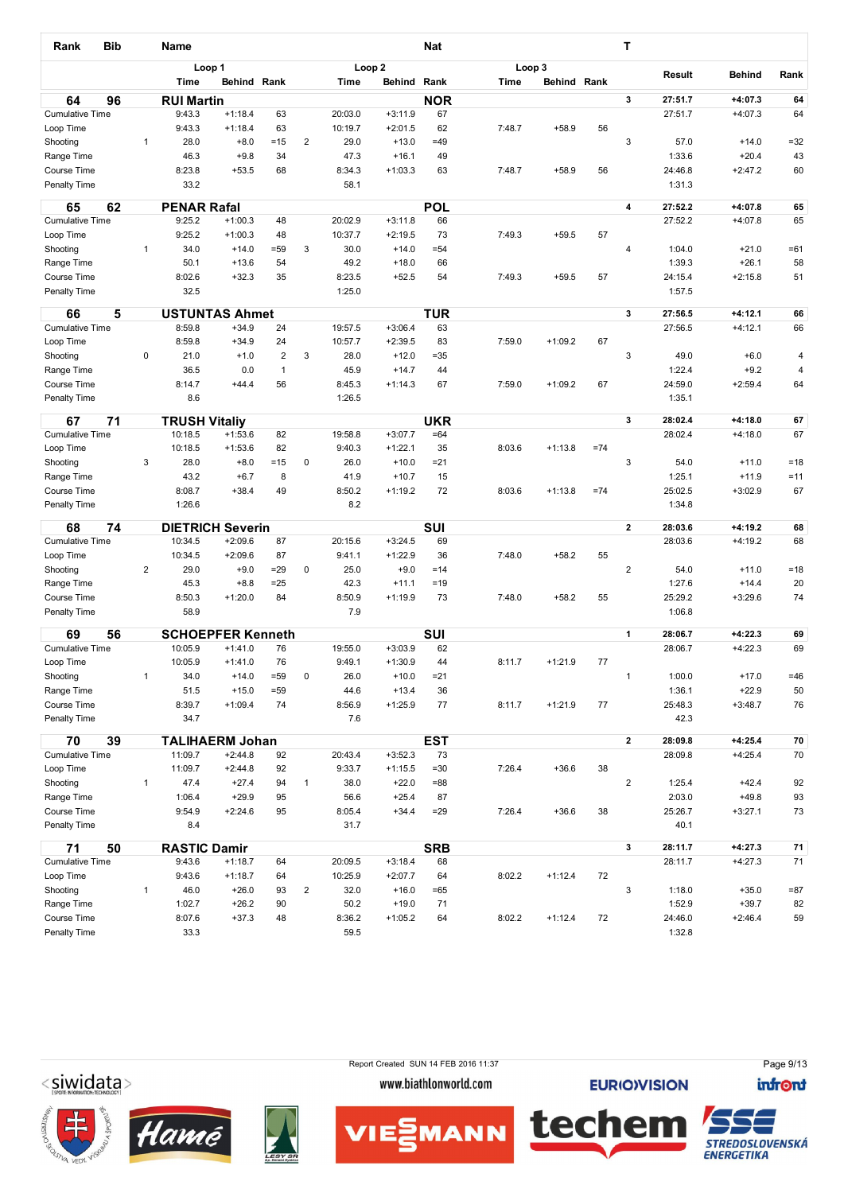| Rank                                | <b>Bib</b> |                | <b>Name</b>              |                    |                 |                |                    |                        | <b>Nat</b>     |        |             |       | т                       |                  |                    |             |
|-------------------------------------|------------|----------------|--------------------------|--------------------|-----------------|----------------|--------------------|------------------------|----------------|--------|-------------|-------|-------------------------|------------------|--------------------|-------------|
|                                     |            |                | Loop 1                   |                    |                 |                |                    | Loop <sub>2</sub>      |                | Loop 3 |             |       |                         | Result           | <b>Behind</b>      | Rank        |
|                                     |            |                | <b>Time</b>              | Behind Rank        |                 |                | <b>Time</b>        | Behind Rank            |                | Time   | Behind Rank |       |                         |                  |                    |             |
| 64                                  | 96         |                | <b>RUI Martin</b>        |                    |                 |                |                    |                        | <b>NOR</b>     |        |             |       | 3                       | 27:51.7          | $+4:07.3$          | 64          |
| <b>Cumulative Time</b>              |            |                | 9:43.3                   | $+1:18.4$          | 63              |                | 20:03.0            | $+3:11.9$              | 67             |        |             |       |                         | 27:51.7          | $+4:07.3$          | 64          |
| Loop Time                           |            |                | 9:43.3                   | $+1:18.4$          | 63              |                | 10:19.7            | $+2:01.5$              | 62             | 7:48.7 | $+58.9$     | 56    |                         |                  |                    |             |
| Shooting                            |            | $\mathbf{1}$   | 28.0<br>46.3             | $+8.0$<br>$+9.8$   | $=15$<br>34     | $\overline{2}$ | 29.0<br>47.3       | $+13.0$<br>$+16.1$     | $=49$<br>49    |        |             |       | 3                       | 57.0<br>1:33.6   | $+14.0$<br>$+20.4$ | $=32$<br>43 |
| Range Time<br>Course Time           |            |                | 8:23.8                   | $+53.5$            | 68              |                | 8:34.3             | $+1:03.3$              | 63             | 7:48.7 | $+58.9$     | 56    |                         | 24:46.8          | $+2:47.2$          | 60          |
| Penalty Time                        |            |                | 33.2                     |                    |                 |                | 58.1               |                        |                |        |             |       |                         | 1:31.3           |                    |             |
| 65                                  | 62         |                | <b>PENAR Rafal</b>       |                    |                 |                |                    |                        | <b>POL</b>     |        |             |       | 4                       | 27:52.2          | +4:07.8            | 65          |
| <b>Cumulative Time</b>              |            |                | 9:25.2                   | $+1:00.3$          | 48              |                | 20:02.9            | $+3:11.8$              | 66             |        |             |       |                         | 27:52.2          | $+4:07.8$          | 65          |
| Loop Time                           |            |                | 9:25.2                   | $+1:00.3$          | 48              |                | 10:37.7            | $+2:19.5$              | 73             | 7:49.3 | $+59.5$     | 57    |                         |                  |                    |             |
| Shooting                            |            | $\mathbf{1}$   | 34.0<br>50.1             | $+14.0$<br>$+13.6$ | $= 59$<br>54    | 3              | 30.0<br>49.2       | $+14.0$<br>$+18.0$     | $= 54$<br>66   |        |             |       | 4                       | 1:04.0<br>1:39.3 | $+21.0$<br>$+26.1$ | $=61$<br>58 |
| Range Time<br>Course Time           |            |                | 8:02.6                   | $+32.3$            | 35              |                | 8:23.5             | $+52.5$                | 54             | 7:49.3 | $+59.5$     | 57    |                         | 24:15.4          | $+2:15.8$          | 51          |
| <b>Penalty Time</b>                 |            |                | 32.5                     |                    |                 |                | 1:25.0             |                        |                |        |             |       |                         | 1:57.5           |                    |             |
|                                     |            |                |                          |                    |                 |                |                    |                        |                |        |             |       |                         |                  |                    |             |
| 66                                  | 5          |                | <b>USTUNTAS Ahmet</b>    |                    |                 |                |                    |                        | <b>TUR</b>     |        |             |       | 3                       | 27:56.5          | 14:12.1            | 66          |
| <b>Cumulative Time</b><br>Loop Time |            |                | 8:59.8<br>8:59.8         | $+34.9$<br>$+34.9$ | 24<br>24        |                | 19:57.5<br>10:57.7 | $+3:06.4$<br>$+2:39.5$ | 63<br>83       | 7:59.0 | $+1:09.2$   | 67    |                         | 27:56.5          | $+4:12.1$          | 66          |
| Shooting                            |            | 0              | 21.0                     | $+1.0$             | $\overline{2}$  | 3              | 28.0               | $+12.0$                | $= 35$         |        |             |       | 3                       | 49.0             | $+6.0$             | 4           |
| Range Time                          |            |                | 36.5                     | 0.0                | $\overline{1}$  |                | 45.9               | $+14.7$                | 44             |        |             |       |                         | 1:22.4           | $+9.2$             | 4           |
| <b>Course Time</b>                  |            |                | 8:14.7                   | $+44.4$            | 56              |                | 8:45.3             | $+1:14.3$              | 67             | 7:59.0 | $+1:09.2$   | 67    |                         | 24:59.0          | $+2:59.4$          | 64          |
| <b>Penalty Time</b>                 |            |                | 8.6                      |                    |                 |                | 1:26.5             |                        |                |        |             |       |                         | 1:35.1           |                    |             |
| 67                                  | 71         |                | <b>TRUSH Vitaliy</b>     |                    |                 |                |                    |                        | <b>UKR</b>     |        |             |       | 3                       | 28:02.4          | +4:18.0            | 67          |
| <b>Cumulative Time</b>              |            |                | 10:18.5                  | $+1:53.6$          | 82              |                | 19:58.8            | $+3:07.7$              | $=64$          |        |             |       |                         | 28:02.4          | $+4:18.0$          | 67          |
| Loop Time                           |            |                | 10:18.5                  | $+1:53.6$          | 82              |                | 9:40.3             | $+1:22.1$              | 35             | 8:03.6 | $+1:13.8$   | $=74$ |                         |                  |                    |             |
| Shooting                            |            | 3              | 28.0                     | $+8.0$             | $=15$           | 0              | 26.0               | $+10.0$                | $= 21$         |        |             |       | 3                       | 54.0             | $+11.0$            | $=18$       |
| Range Time                          |            |                | 43.2                     | $+6.7$             | 8               |                | 41.9               | $+10.7$                | 15             |        |             |       |                         | 1:25.1           | $+11.9$            | $=11$       |
| <b>Course Time</b>                  |            |                | 8:08.7                   | $+38.4$            | 49              |                | 8:50.2             | $+1:19.2$              | 72             | 8:03.6 | $+1:13.8$   | $=74$ |                         | 25:02.5          | $+3:02.9$          | 67          |
| Penalty Time                        |            |                | 1:26.6                   |                    |                 |                | 8.2                |                        |                |        |             |       |                         | 1:34.8           |                    |             |
| 68                                  | 74         |                | <b>DIETRICH Severin</b>  |                    |                 |                |                    |                        | <b>SUI</b>     |        |             |       | $\mathbf 2$             | 28:03.6          | $+4:19.2$          | 68          |
| <b>Cumulative Time</b>              |            |                | 10:34.5                  | $+2:09.6$          | 87              |                | 20:15.6            | $+3:24.5$              | 69             |        |             |       |                         | 28:03.6          | $+4:19.2$          | 68          |
| Loop Time                           |            |                | 10:34.5                  | $+2:09.6$          | 87              |                | 9:41.1             | $+1:22.9$              | 36             | 7:48.0 | $+58.2$     | 55    |                         |                  |                    |             |
| Shooting<br>Range Time              |            | $\overline{2}$ | 29.0<br>45.3             | $+9.0$<br>$+8.8$   | $= 29$<br>$=25$ | 0              | 25.0<br>42.3       | $+9.0$<br>$+11.1$      | $=14$<br>$=19$ |        |             |       | 2                       | 54.0<br>1:27.6   | $+11.0$<br>$+14.4$ | $=18$<br>20 |
| <b>Course Time</b>                  |            |                | 8:50.3                   | $+1:20.0$          | 84              |                | 8:50.9             | $+1:19.9$              | 73             | 7:48.0 | $+58.2$     | 55    |                         | 25:29.2          | $+3:29.6$          | 74          |
| Penalty Time                        |            |                | 58.9                     |                    |                 |                | 7.9                |                        |                |        |             |       |                         | 1:06.8           |                    |             |
| 69                                  | 56         |                | <b>SCHOEPFER Kenneth</b> |                    |                 |                |                    |                        | <b>SUI</b>     |        |             |       | $\mathbf{1}$            | 28:06.7          | +4:22.3            | 69          |
| <b>Cumulative Time</b>              |            |                | 10:05.9                  | $+1:41.0$          | 76              |                | 19:55.0            | $+3:03.9$              | 62             |        |             |       |                         | 28:06.7          | $+4:22.3$          | 69          |
| Loop Time                           |            |                | 10:05.9                  | $+1:41.0$          | 76              |                | 9:49.1             | $+1:30.9$              | 44             | 8:11.7 | $+1:21.9$   | 77    |                         |                  |                    |             |
| Shooting                            |            | $\mathbf{1}$   | 34.0                     | $+14.0$            | $= 59$          | 0              | 26.0               | $+10.0$                | $= 21$         |        |             |       | $\mathbf{1}$            | 1:00.0           | $+17.0$            | $=46$       |
| Range Time                          |            |                | 51.5                     | $+15.0$            | $= 59$          |                | 44.6               | $+13.4$                | 36             |        |             |       |                         | 1:36.1           | $+22.9$            | 50          |
| Course Time                         |            |                | 8:39.7                   | $+1:09.4$          | 74              |                | 8:56.9             | $+1:25.9$              | 77             | 8:11.7 | $+1:21.9$   | 77    |                         | 25:48.3          | $+3:48.7$          | 76          |
| Penalty Time                        |            |                | 34.7                     |                    |                 |                | 7.6                |                        |                |        |             |       |                         | 42.3             |                    |             |
| 70                                  | 39         |                | <b>TALIHAERM Johan</b>   |                    |                 |                |                    |                        | <b>EST</b>     |        |             |       | $\mathbf{2}$            | 28:09.8          | $+4:25.4$          | 70          |
| <b>Cumulative Time</b>              |            |                | 11:09.7                  | $+2:44.8$          | 92              |                | 20:43.4            | $+3:52.3$              | 73             |        |             |       |                         | 28:09.8          | $+4:25.4$          | 70          |
| Loop Time                           |            |                | 11:09.7                  | $+2:44.8$          | 92              |                | 9:33.7             | $+1:15.5$              | $= 30$         | 7:26.4 | $+36.6$     | 38    |                         |                  |                    |             |
| Shooting<br>Range Time              |            | $\mathbf{1}$   | 47.4<br>1:06.4           | $+27.4$<br>$+29.9$ | 94<br>95        | $\mathbf{1}$   | 38.0<br>56.6       | $+22.0$<br>$+25.4$     | =88<br>87      |        |             |       | $\overline{\mathbf{c}}$ | 1:25.4<br>2:03.0 | $+42.4$<br>$+49.8$ | 92<br>93    |
| Course Time                         |            |                | 9:54.9                   | $+2:24.6$          | 95              |                | 8:05.4             | $+34.4$                | $= 29$         | 7:26.4 | $+36.6$     | 38    |                         | 25:26.7          | $+3:27.1$          | 73          |
| Penalty Time                        |            |                | 8.4                      |                    |                 |                | 31.7               |                        |                |        |             |       |                         | 40.1             |                    |             |
| 71                                  | 50         |                | <b>RASTIC Damir</b>      |                    |                 |                |                    |                        | <b>SRB</b>     |        |             |       | 3                       | 28:11.7          | $+4:27.3$          | 71          |
| <b>Cumulative Time</b>              |            |                | 9:43.6                   | $+1:18.7$          | 64              |                | 20:09.5            | $+3:18.4$              | 68             |        |             |       |                         | 28:11.7          | $+4:27.3$          | 71          |
| Loop Time                           |            |                | 9:43.6                   | $+1:18.7$          | 64              |                | 10:25.9            | $+2:07.7$              | 64             | 8:02.2 | $+1:12.4$   | 72    |                         |                  |                    |             |
| Shooting                            |            | $\mathbf{1}$   | 46.0                     | $+26.0$            | 93              | $\overline{2}$ | 32.0               | $+16.0$                | =65            |        |             |       | 3                       | 1:18.0           | $+35.0$            | $= 87$      |
| Range Time                          |            |                | 1:02.7                   | $+26.2$            | 90              |                | 50.2               | $+19.0$                | 71             |        |             |       |                         | 1:52.9           | $+39.7$            | 82          |
| Course Time                         |            |                | 8:07.6                   | $+37.3$            | 48              |                | 8:36.2             | $+1:05.2$              | 64             | 8:02.2 | $+1:12.4$   | 72    |                         | 24:46.0          | $+2:46.4$          | 59          |
| Penalty Time                        |            |                | 33.3                     |                    |                 |                | 59.5               |                        |                |        |             |       |                         | 1:32.8           |                    |             |

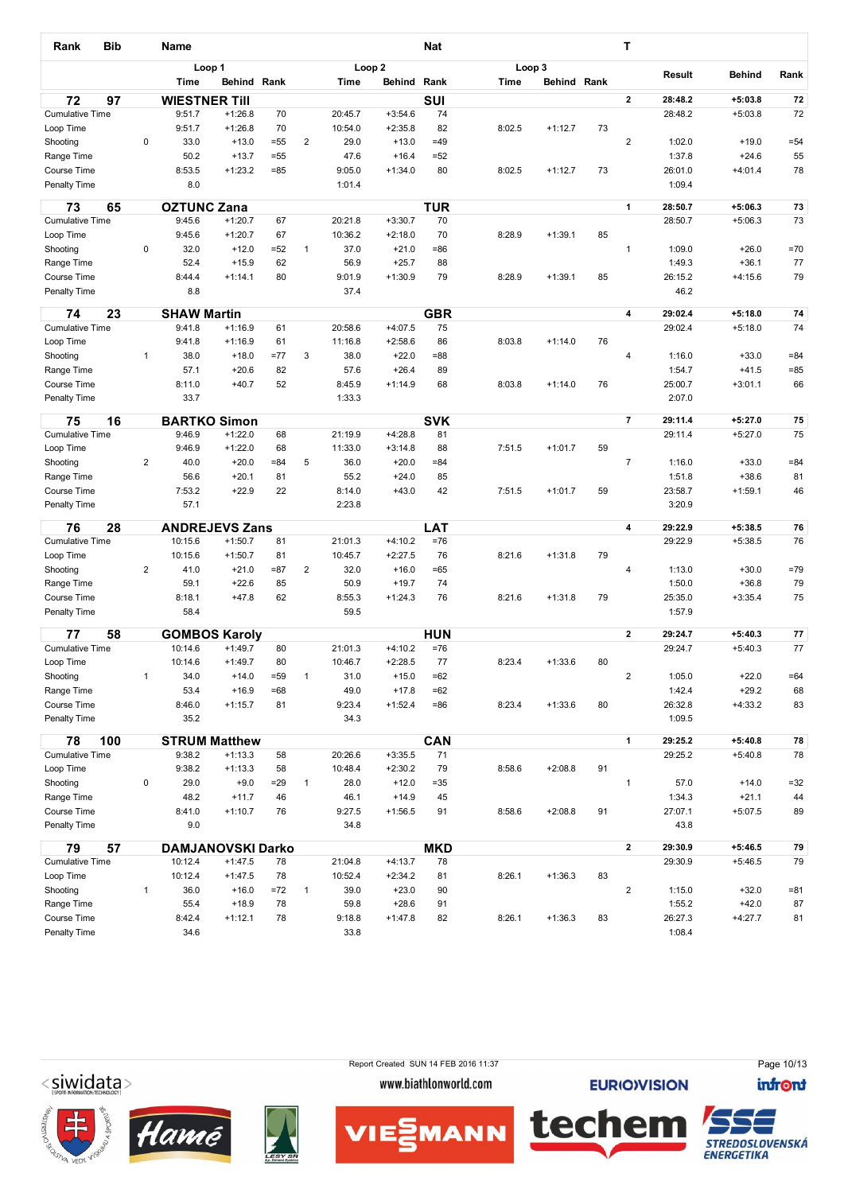| Rank                                | <b>Bib</b> |                | Name                             |                        |              |                |                    |                        | <b>Nat</b>          |             |                    |    | т                       |                    |                        |          |
|-------------------------------------|------------|----------------|----------------------------------|------------------------|--------------|----------------|--------------------|------------------------|---------------------|-------------|--------------------|----|-------------------------|--------------------|------------------------|----------|
|                                     |            |                |                                  | Loop 1                 |              |                |                    | Loop <sub>2</sub>      |                     | Loop 3      |                    |    |                         | Result             | <b>Behind</b>          | Rank     |
|                                     |            |                | <b>Time</b>                      | Behind Rank            |              |                | <b>Time</b>        | Behind                 | Rank                | <b>Time</b> | <b>Behind Rank</b> |    |                         |                    |                        |          |
| 72                                  | 97         |                | <b>WIESTNER TIII</b>             |                        |              |                |                    |                        | SUI                 |             |                    |    | $\overline{2}$          | 28:48.2            | $+5:03.8$              | 72       |
| <b>Cumulative Time</b>              |            |                | 9:51.7                           | $+1:26.8$              | 70           |                | 20:45.7            | $+3:54.6$              | 74                  |             |                    |    |                         | 28:48.2            | $+5:03.8$              | 72       |
| Loop Time                           |            | 0              | 9:51.7<br>33.0                   | $+1:26.8$<br>$+13.0$   | 70<br>$= 55$ | $\overline{2}$ | 10:54.0<br>29.0    | $+2:35.8$<br>$+13.0$   | 82<br>$=49$         | 8:02.5      | $+1:12.7$          | 73 | $\overline{\mathbf{c}}$ | 1:02.0             | $+19.0$                | $= 54$   |
| Shooting<br>Range Time              |            |                | 50.2                             | $+13.7$                | $= 55$       |                | 47.6               | $+16.4$                | $= 52$              |             |                    |    |                         | 1:37.8             | $+24.6$                | 55       |
| Course Time                         |            |                | 8:53.5                           | $+1:23.2$              | $= 85$       |                | 9:05.0             | $+1:34.0$              | 80                  | 8:02.5      | $+1:12.7$          | 73 |                         | 26:01.0            | $+4:01.4$              | 78       |
| Penalty Time                        |            |                | 8.0                              |                        |              |                | 1:01.4             |                        |                     |             |                    |    |                         | 1:09.4             |                        |          |
| 73                                  | 65         |                | <b>OZTUNC Zana</b>               |                        |              |                |                    |                        | <b>TUR</b>          |             |                    |    | $\mathbf{1}$            | 28:50.7            | $+5:06.3$              | 73       |
| <b>Cumulative Time</b>              |            |                | 9:45.6                           | $+1:20.7$              | 67           |                | 20:21.8            | $+3:30.7$              | 70                  |             |                    |    |                         | 28:50.7            | $+5:06.3$              | 73       |
| Loop Time<br>Shooting               |            | 0              | 9:45.6<br>32.0                   | $+1:20.7$<br>$+12.0$   | 67<br>$=52$  | $\mathbf{1}$   | 10:36.2<br>37.0    | $+2:18.0$<br>$+21.0$   | 70<br>=86           | 8:28.9      | $+1:39.1$          | 85 | $\mathbf{1}$            | 1:09.0             | $+26.0$                | $=70$    |
| Range Time                          |            |                | 52.4                             | $+15.9$                | 62           |                | 56.9               | $+25.7$                | 88                  |             |                    |    |                         | 1:49.3             | $+36.1$                | 77       |
| Course Time                         |            |                | 8:44.4                           | $+1:14.1$              | 80           |                | 9:01.9             | $+1:30.9$              | 79                  | 8:28.9      | $+1:39.1$          | 85 |                         | 26:15.2            | $+4:15.6$              | 79       |
| Penalty Time                        |            |                | 8.8                              |                        |              |                | 37.4               |                        |                     |             |                    |    |                         | 46.2               |                        |          |
| 74                                  | 23         |                | <b>SHAW Martin</b>               |                        |              |                |                    |                        | <b>GBR</b>          |             |                    |    | 4                       | 29:02.4            | $+5:18.0$              | 74       |
| <b>Cumulative Time</b>              |            |                | 9:41.8                           | $+1:16.9$              | 61           |                | 20:58.6            | $+4:07.5$              | 75                  |             |                    |    |                         | 29:02.4            | $+5:18.0$              | 74       |
| Loop Time                           |            |                | 9:41.8                           | $+1:16.9$              | 61           |                | 11:16.8            | $+2:58.6$              | 86                  | 8:03.8      | $+1:14.0$          | 76 |                         |                    |                        |          |
| Shooting                            |            | 1              | 38.0                             | $+18.0$                | $=77$        | 3              | 38.0               | $+22.0$                | $=88$               |             |                    |    | 4                       | 1:16.0             | $+33.0$                | $= 84$   |
| Range Time                          |            |                | 57.1                             | $+20.6$                | 82           |                | 57.6               | $+26.4$                | 89                  |             |                    |    |                         | 1:54.7             | $+41.5$                | $= 85$   |
| Course Time                         |            |                | 8:11.0                           | $+40.7$                | 52           |                | 8:45.9             | $+1:14.9$              | 68                  | 8:03.8      | $+1:14.0$          | 76 |                         | 25:00.7            | $+3:01.1$              | 66       |
| Penalty Time                        |            |                | 33.7                             |                        |              |                | 1:33.3             |                        |                     |             |                    |    |                         | 2:07.0             |                        |          |
| 75                                  | 16         |                | <b>BARTKO Simon</b>              |                        |              |                |                    |                        | <b>SVK</b>          |             |                    |    | $\overline{7}$          | 29:11.4            | $+5:27.0$              | 75       |
| <b>Cumulative Time</b>              |            |                | 9:46.9                           | $+1:22.0$              | 68           |                | 21:19.9            | $+4:28.8$              | 81                  |             |                    |    |                         | 29:11.4            | $+5:27.0$              | 75       |
| Loop Time                           |            |                | 9:46.9                           | $+1:22.0$              | 68           |                | 11:33.0            | $+3:14.8$              | 88                  | 7:51.5      | $+1:01.7$          | 59 |                         |                    |                        |          |
| Shooting                            |            | $\overline{2}$ | 40.0                             | $+20.0$                | $= 84$       | 5              | 36.0               | $+20.0$                | $= 84$              |             |                    |    | $\overline{7}$          | 1:16.0             | $+33.0$                | $= 84$   |
| Range Time                          |            |                | 56.6<br>7:53.2                   | $+20.1$<br>$+22.9$     | 81<br>22     |                | 55.2               | $+24.0$<br>$+43.0$     | 85<br>42            |             |                    |    |                         | 1:51.8             | $+38.6$                | 81       |
| Course Time<br>Penalty Time         |            |                | 57.1                             |                        |              |                | 8:14.0<br>2:23.8   |                        |                     | 7:51.5      | $+1:01.7$          | 59 |                         | 23:58.7<br>3:20.9  | $+1:59.1$              | 46       |
|                                     |            |                |                                  |                        |              |                |                    |                        |                     |             |                    |    |                         |                    |                        |          |
| 76<br><b>Cumulative Time</b>        | 28         |                | <b>ANDREJEVS Zans</b><br>10:15.6 | $+1:50.7$              | 81           |                | 21:01.3            | $+4:10.2$              | <b>LAT</b><br>$=76$ |             |                    |    | $\overline{\mathbf{4}}$ | 29:22.9<br>29:22.9 | $+5:38.5$<br>$+5:38.5$ | 76<br>76 |
| Loop Time                           |            |                | 10:15.6                          | $+1:50.7$              | 81           |                | 10:45.7            | $+2:27.5$              | 76                  | 8:21.6      | $+1:31.8$          | 79 |                         |                    |                        |          |
| Shooting                            |            | $\overline{2}$ | 41.0                             | $+21.0$                | $= 87$       | 2              | 32.0               | $+16.0$                | $=65$               |             |                    |    | 4                       | 1:13.0             | $+30.0$                | $=79$    |
| Range Time                          |            |                | 59.1                             | $+22.6$                | 85           |                | 50.9               | $+19.7$                | 74                  |             |                    |    |                         | 1:50.0             | $+36.8$                | 79       |
| Course Time                         |            |                | 8:18.1                           | $+47.8$                | 62           |                | 8:55.3             | $+1:24.3$              | 76                  | 8:21.6      | $+1:31.8$          | 79 |                         | 25:35.0            | $+3:35.4$              | 75       |
| Penalty Time                        |            |                | 58.4                             |                        |              |                | 59.5               |                        |                     |             |                    |    |                         | 1:57.9             |                        |          |
| 77                                  | 58         |                | <b>GOMBOS Karoly</b>             |                        |              |                |                    |                        | <b>HUN</b>          |             |                    |    | $\mathbf{2}$            | 29:24.7            | $+5:40.3$              | 77       |
| <b>Cumulative Time</b>              |            |                | 10:14.6                          | $+1:49.7$              | 80           |                | 21:01.3            | $+4:10.2$              | $=76$               |             |                    |    |                         | 29:24.7            | $+5:40.3$              | 77       |
| Loop Time                           |            |                | 10:14.6                          | $+1:49.7$              | 80           |                | 10:46.7            | $+2:28.5$              | 77                  | 8:23.4      | $+1:33.6$          | 80 |                         |                    |                        |          |
| Shooting                            |            | $\mathbf{1}$   | 34.0                             | $+14.0$                | $= 59$       | $\mathbf{1}$   | 31.0               | $+15.0$                | $=62$               |             |                    |    | $\overline{\mathbf{c}}$ | 1:05.0             | $+22.0$                | $=64$    |
| Range Time<br>Course Time           |            |                | 53.4<br>8:46.0                   | $+16.9$<br>$+1:15.7$   | $=68$<br>81  |                | 49.0<br>9:23.4     | $+17.8$<br>$+1:52.4$   | $=62$<br>$= 86$     | 8:23.4      | $+1:33.6$          | 80 |                         | 1:42.4<br>26:32.8  | $+29.2$<br>$+4:33.2$   | 68<br>83 |
| Penalty Time                        |            |                | 35.2                             |                        |              |                | 34.3               |                        |                     |             |                    |    |                         | 1:09.5             |                        |          |
| 78                                  | 100        |                | <b>STRUM Matthew</b>             |                        |              |                |                    |                        | CAN                 |             |                    |    | $\mathbf{1}$            | 29:25.2            | $+5:40.8$              | 78       |
| <b>Cumulative Time</b>              |            |                | 9:38.2                           | $+1:13.3$              | 58           |                | 20:26.6            | $+3:35.5$              | 71                  |             |                    |    |                         | 29:25.2            | $+5:40.8$              | 78       |
| Loop Time                           |            |                | 9:38.2                           | $+1:13.3$              | 58           |                | 10:48.4            | $+2:30.2$              | 79                  | 8:58.6      | $+2:08.8$          | 91 |                         |                    |                        |          |
| Shooting                            |            | 0              | 29.0                             | $+9.0$                 | $= 29$       | $\mathbf{1}$   | 28.0               | $+12.0$                | $= 35$              |             |                    |    | 1                       | 57.0               | $+14.0$                | $=32$    |
| Range Time                          |            |                | 48.2                             | $+11.7$                | 46           |                | 46.1               | $+14.9$                | 45                  |             |                    |    |                         | 1:34.3             | $+21.1$                | 44       |
| Course Time<br>Penalty Time         |            |                | 8:41.0                           | $+1:10.7$              | 76           |                | 9:27.5             | $+1:56.5$              | 91                  | 8:58.6      | $+2:08.8$          | 91 |                         | 27:07.1            | $+5:07.5$              | 89       |
|                                     |            |                | 9.0                              |                        |              |                | 34.8               |                        |                     |             |                    |    |                         | 43.8               |                        |          |
| 79                                  | 57         |                | <b>DAMJANOVSKI Darko</b>         |                        |              |                |                    |                        | <b>MKD</b>          |             |                    |    | $\mathbf{2}$            | 29:30.9            | $+5:46.5$              | 79       |
| <b>Cumulative Time</b><br>Loop Time |            |                | 10:12.4<br>10:12.4               | $+1:47.5$<br>$+1:47.5$ | 78<br>78     |                | 21:04.8<br>10:52.4 | $+4:13.7$<br>$+2:34.2$ | 78<br>81            | 8:26.1      | $+1:36.3$          | 83 |                         | 29:30.9            | $+5:46.5$              | 79       |
| Shooting                            |            | 1              | 36.0                             | $+16.0$                | $= 72$       | $\mathbf{1}$   | 39.0               | $+23.0$                | 90                  |             |                    |    | $\overline{c}$          | 1:15.0             | $+32.0$                | $= 81$   |
| Range Time                          |            |                | 55.4                             | $+18.9$                | 78           |                | 59.8               | $+28.6$                | 91                  |             |                    |    |                         | 1:55.2             | $+42.0$                | 87       |
| Course Time                         |            |                | 8:42.4                           | $+1:12.1$              | 78           |                | 9:18.8             | $+1:47.8$              | 82                  | 8:26.1      | $+1:36.3$          | 83 |                         | 26:27.3            | $+4:27.7$              | 81       |
| Penalty Time                        |            |                | 34.6                             |                        |              |                | 33.8               |                        |                     |             |                    |    |                         | 1:08.4             |                        |          |
|                                     |            |                |                                  |                        |              |                |                    |                        |                     |             |                    |    |                         |                    |                        |          |

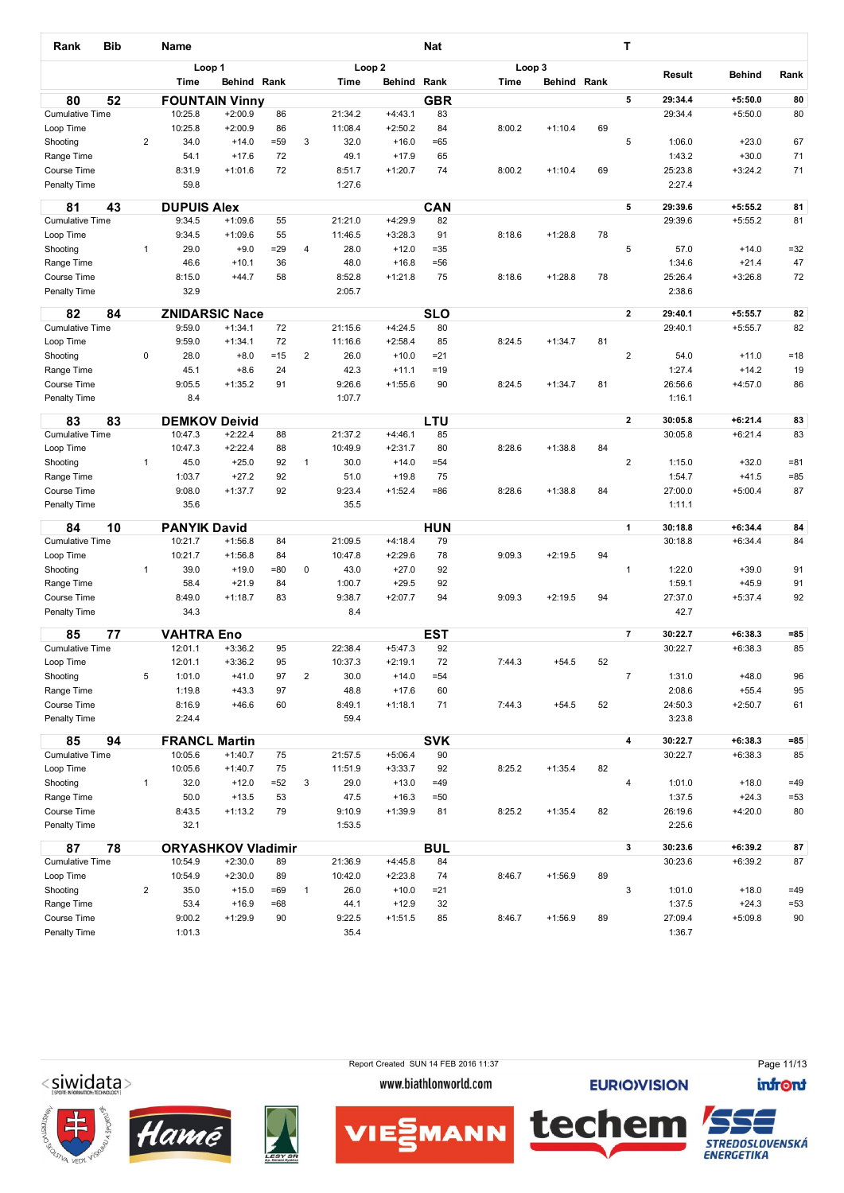| Rank                         | <b>Bib</b> |                | <b>Name</b>                    |                           |                |                |                  |                      | <b>Nat</b>       |        |             |    | т              |                    |                        |                 |
|------------------------------|------------|----------------|--------------------------------|---------------------------|----------------|----------------|------------------|----------------------|------------------|--------|-------------|----|----------------|--------------------|------------------------|-----------------|
|                              |            |                |                                | Loop 1                    |                |                |                  | Loop <sub>2</sub>    |                  |        | Loop 3      |    |                |                    |                        |                 |
|                              |            |                | Time                           | Behind Rank               |                |                | Time             | Behind               | Rank             | Time   | Behind Rank |    |                | Result             | Behind                 | Rank            |
| 80                           | 52         |                |                                | <b>FOUNTAIN Vinny</b>     |                |                |                  |                      | <b>GBR</b>       |        |             |    | 5              | 29:34.4            | $+5:50.0$              | 80              |
| <b>Cumulative Time</b>       |            |                | 10:25.8                        | $+2:00.9$                 | 86             |                | 21:34.2          | $+4:43.1$            | 83               |        |             |    |                | 29:34.4            | $+5:50.0$              | 80              |
| Loop Time                    |            |                | 10:25.8                        | $+2:00.9$                 | 86             |                | 11:08.4          | $+2:50.2$            | 84               | 8:00.2 | $+1:10.4$   | 69 |                |                    |                        |                 |
| Shooting                     |            | $\overline{2}$ | 34.0                           | $+14.0$                   | $= 59$         | 3              | 32.0             | $+16.0$              | $=65$            |        |             |    | 5              | 1:06.0             | $+23.0$                | 67              |
| Range Time                   |            |                | 54.1                           | $+17.6$                   | 72             |                | 49.1             | $+17.9$              | 65               |        |             |    |                | 1:43.2             | $+30.0$                | 71              |
| Course Time<br>Penalty Time  |            |                | 8:31.9<br>59.8                 | $+1:01.6$                 | 72             |                | 8:51.7<br>1:27.6 | $+1:20.7$            | 74               | 8:00.2 | $+1:10.4$   | 69 |                | 25:23.8<br>2:27.4  | $+3:24.2$              | 71              |
| 81                           | 43         |                | <b>DUPUIS Alex</b>             |                           |                |                |                  |                      | CAN              |        |             |    | 5              | 29:39.6            | $+5:55.2$              | 81              |
| <b>Cumulative Time</b>       |            |                | 9:34.5                         | $+1:09.6$                 | 55             |                | 21:21.0          | $+4:29.9$            | 82               |        |             |    |                | 29:39.6            | $+5:55.2$              | 81              |
| Loop Time                    |            |                | 9:34.5                         | $+1:09.6$                 | 55             |                | 11:46.5          | $+3:28.3$            | 91               | 8:18.6 | $+1:28.8$   | 78 |                |                    |                        |                 |
| Shooting                     |            | $\mathbf{1}$   | 29.0<br>46.6                   | $+9.0$<br>$+10.1$         | $= 29$<br>36   | 4              | 28.0<br>48.0     | $+12.0$<br>$+16.8$   | $= 35$<br>$= 56$ |        |             |    | 5              | 57.0<br>1:34.6     | $+14.0$<br>$+21.4$     | $=32$<br>47     |
| Range Time<br>Course Time    |            |                | 8:15.0                         | $+44.7$                   | 58             |                | 8:52.8           | $+1:21.8$            | 75               | 8:18.6 | $+1:28.8$   | 78 |                | 25:26.4            | $+3:26.8$              | 72              |
| <b>Penalty Time</b>          |            |                | 32.9                           |                           |                |                | 2:05.7           |                      |                  |        |             |    |                | 2:38.6             |                        |                 |
|                              |            |                |                                |                           |                |                |                  |                      |                  |        |             |    |                |                    |                        |                 |
| 82                           | 84         |                |                                | <b>ZNIDARSIC Nace</b>     |                |                |                  |                      | <b>SLO</b>       |        |             |    | $\overline{2}$ | 29:40.1            | $+5:55.7$              | 82              |
| <b>Cumulative Time</b>       |            |                | 9:59.0                         | $+1:34.1$                 | 72             |                | 21:15.6          | $+4:24.5$            | 80               |        |             |    |                | 29:40.1            | $+5:55.7$              | 82              |
| Loop Time                    |            |                | 9:59.0                         | $+1:34.1$                 | 72             |                | 11:16.6          | $+2:58.4$            | 85               | 8:24.5 | $+1:34.7$   | 81 |                |                    |                        |                 |
| Shooting<br>Range Time       |            | 0              | 28.0<br>45.1                   | $+8.0$<br>$+8.6$          | $=15$<br>24    | $\overline{2}$ | 26.0<br>42.3     | $+10.0$<br>$+11.1$   | $= 21$<br>$=19$  |        |             |    | $\overline{2}$ | 54.0<br>1:27.4     | $+11.0$<br>$+14.2$     | $=18$<br>19     |
| Course Time                  |            |                | 9:05.5                         | $+1:35.2$                 | 91             |                | 9:26.6           | $+1:55.6$            | 90               | 8:24.5 | $+1:34.7$   | 81 |                | 26:56.6            | $+4:57.0$              | 86              |
| Penalty Time                 |            |                | 8.4                            |                           |                |                | 1:07.7           |                      |                  |        |             |    |                | 1:16.1             |                        |                 |
|                              |            |                |                                |                           |                |                |                  |                      |                  |        |             |    |                |                    |                        |                 |
| 83                           | 83         |                | <b>DEMKOV</b>                  | <b>Deivid</b>             |                |                |                  |                      | LTU              |        |             |    | $\mathbf{2}$   | 30:05.8            | $+6:21.4$              | 83              |
| <b>Cumulative Time</b>       |            |                | 10:47.3                        | $+2:22.4$                 | 88<br>88       |                | 21:37.2          | $+4:46.1$            | 85<br>80         |        |             | 84 |                | 30:05.8            | $+6:21.4$              | 83              |
| Loop Time<br>Shooting        |            | $\mathbf{1}$   | 10:47.3<br>45.0                | $+2:22.4$<br>$+25.0$      | 92             | 1              | 10:49.9<br>30.0  | $+2:31.7$<br>$+14.0$ | $= 54$           | 8:28.6 | $+1:38.8$   |    | $\overline{2}$ | 1:15.0             | $+32.0$                | $= 81$          |
| Range Time                   |            |                | 1:03.7                         | $+27.2$                   | 92             |                | 51.0             | $+19.8$              | 75               |        |             |    |                | 1:54.7             | $+41.5$                | $= 85$          |
| Course Time                  |            |                | 9:08.0                         | $+1:37.7$                 | 92             |                | 9:23.4           | $+1:52.4$            | $= 86$           | 8:28.6 | $+1:38.8$   | 84 |                | 27:00.0            | $+5:00.4$              | 87              |
| Penalty Time                 |            |                | 35.6                           |                           |                |                | 35.5             |                      |                  |        |             |    |                | 1:11.1             |                        |                 |
|                              |            |                |                                |                           |                |                |                  |                      |                  |        |             |    |                |                    |                        |                 |
| 84<br><b>Cumulative Time</b> | 10         |                | <b>PANYIK David</b><br>10:21.7 | $+1:56.8$                 | 84             |                | 21:09.5          | $+4:18.4$            | <b>HUN</b><br>79 |        |             |    | 1              | 30:18.8<br>30:18.8 | $+6:34.4$<br>$+6:34.4$ | 84<br>84        |
| Loop Time                    |            |                | 10:21.7                        | $+1:56.8$                 | 84             |                | 10:47.8          | $+2:29.6$            | 78               | 9:09.3 | $+2:19.5$   | 94 |                |                    |                        |                 |
| Shooting                     |            | $\mathbf{1}$   | 39.0                           | $+19.0$                   | $= 80$         | 0              | 43.0             | $+27.0$              | 92               |        |             |    | $\mathbf{1}$   | 1:22.0             | $+39.0$                | 91              |
| Range Time                   |            |                | 58.4                           | $+21.9$                   | 84             |                | 1:00.7           | $+29.5$              | 92               |        |             |    |                | 1:59.1             | $+45.9$                | 91              |
| Course Time                  |            |                | 8:49.0                         | $+1:18.7$                 | 83             |                | 9:38.7           | $+2:07.7$            | 94               | 9:09.3 | $+2:19.5$   | 94 |                | 27:37.0            | $+5:37.4$              | 92              |
| Penalty Time                 |            |                | 34.3                           |                           |                |                | 8.4              |                      |                  |        |             |    |                | 42.7               |                        |                 |
| 85                           | 77         |                | <b>VAHTRA Eno</b>              |                           |                |                |                  |                      | <b>EST</b>       |        |             |    | $\overline{7}$ | 30:22.7            | $+6:38.3$              | $= 85$          |
| <b>Cumulative Time</b>       |            |                | 12:01.1                        | $+3:36.2$                 | 95             |                | 22:38.4          | $+5:47.3$            | 92               |        |             |    |                | 30:22.7            | $+6:38.3$              | 85              |
| Loop Time                    |            |                | 12:01.1                        | $+3:36.2$                 | 95             |                | 10:37.3          | $+2:19.1$            | 72               | 7:44.3 | $+54.5$     | 52 |                |                    |                        |                 |
| Shooting                     |            | 5              | 1:01.0                         | $+41.0$                   | 97             | $\mathbf 2$    | 30.0             | $+14.0$              | $= 54$           |        |             |    | $\overline{7}$ | 1:31.0             | $+48.0$                | 96              |
| Range Time                   |            |                | 1:19.8                         | $+43.3$                   | 97             |                | 48.8             | $+17.6$              | 60               |        |             |    |                | 2:08.6             | $+55.4$                | 95              |
| Course Time                  |            |                | 8:16.9                         | $+46.6$                   | 60             |                | 8:49.1           | $+1:18.1$            | 71               | 7:44.3 | $+54.5$     | 52 |                | 24:50.3            | $+2:50.7$              | 61              |
| Penalty Time                 |            |                | 2:24.4                         |                           |                |                | 59.4             |                      |                  |        |             |    |                | 3:23.8             |                        |                 |
| 85                           | 94         |                |                                | <b>FRANCL Martin</b>      |                |                |                  |                      | <b>SVK</b>       |        |             |    | 4              | 30:22.7            | $+6:38.3$              | $= 85$          |
| <b>Cumulative Time</b>       |            |                | 10:05.6                        | $+1:40.7$                 | 75             |                | 21:57.5          | $+5:06.4$            | 90               |        |             |    |                | 30:22.7            | $+6:38.3$              | 85              |
| Loop Time                    |            |                | 10:05.6                        | $+1:40.7$                 | 75             |                | 11:51.9          | $+3:33.7$            | 92               | 8:25.2 | $+1:35.4$   | 82 |                |                    |                        |                 |
| Shooting                     |            | $\mathbf{1}$   | 32.0                           | $+12.0$                   | $=52$          | 3              | 29.0             | $+13.0$              | $=49$            |        |             |    | 4              | 1:01.0             | $+18.0$                | $=49$           |
| Range Time                   |            |                | 50.0                           | $+13.5$                   | 53             |                | 47.5             | $+16.3$              | $= 50$           |        |             |    |                | 1:37.5             | $+24.3$                | $= 53$          |
| Course Time<br>Penalty Time  |            |                | 8:43.5<br>32.1                 | $+1:13.2$                 | 79             |                | 9:10.9<br>1:53.5 | $+1:39.9$            | 81               | 8:25.2 | $+1:35.4$   | 82 |                | 26:19.6<br>2:25.6  | $+4:20.0$              | 80              |
|                              |            |                |                                |                           |                |                |                  |                      |                  |        |             |    |                |                    |                        |                 |
| 87                           | 78         |                |                                | <b>ORYASHKOV Vladimir</b> |                |                |                  |                      | <b>BUL</b>       |        |             |    | 3              | 30:23.6            | $+6:39.2$              | 87              |
| <b>Cumulative Time</b>       |            |                | 10:54.9                        | $+2:30.0$                 | 89             |                | 21:36.9          | $+4:45.8$            | 84               |        |             |    |                | 30:23.6            | $+6:39.2$              | 87              |
| Loop Time                    |            |                | 10:54.9                        | $+2:30.0$                 | 89             |                | 10:42.0          | $+2:23.8$            | 74               | 8:46.7 | $+1:56.9$   | 89 | 3              |                    |                        |                 |
| Shooting<br>Range Time       |            | $\overline{2}$ | 35.0<br>53.4                   | $+15.0$<br>$+16.9$        | $=69$<br>$=68$ | $\mathbf{1}$   | 26.0<br>44.1     | $+10.0$<br>$+12.9$   | $= 21$<br>32     |        |             |    |                | 1:01.0<br>1:37.5   | $+18.0$<br>$+24.3$     | $=49$<br>$= 53$ |
| Course Time                  |            |                | 9:00.2                         | $+1:29.9$                 | 90             |                | 9:22.5           | $+1:51.5$            | 85               | 8:46.7 | $+1:56.9$   | 89 |                | 27:09.4            | $+5:09.8$              | 90              |
| Penalty Time                 |            |                | 1:01.3                         |                           |                |                | 35.4             |                      |                  |        |             |    |                | 1:36.7             |                        |                 |
|                              |            |                |                                |                           |                |                |                  |                      |                  |        |             |    |                |                    |                        |                 |





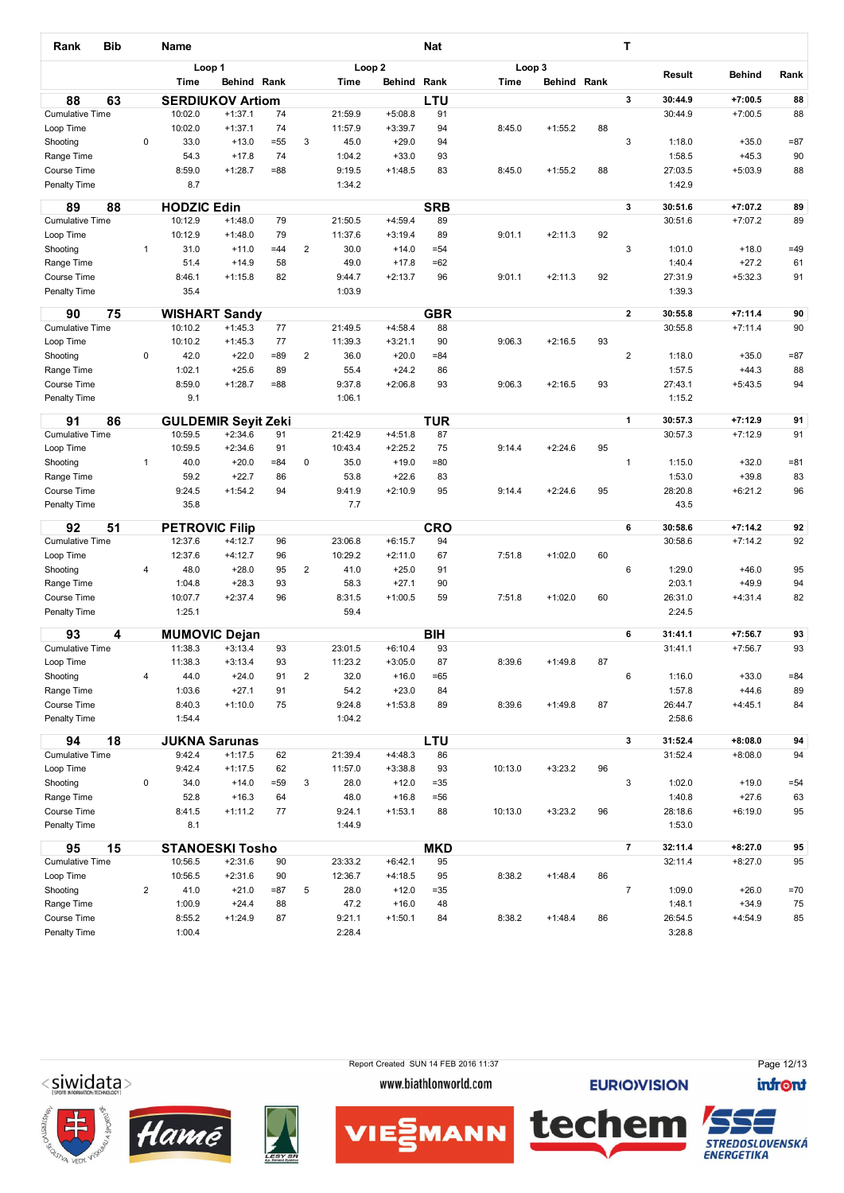| <b>Bib</b><br>Rank                  |                | <b>Name</b>           |                                   |              |                |                    |                        | <b>Nat</b>      |         |                    |    | т              |                  |                    |              |
|-------------------------------------|----------------|-----------------------|-----------------------------------|--------------|----------------|--------------------|------------------------|-----------------|---------|--------------------|----|----------------|------------------|--------------------|--------------|
|                                     |                |                       | Loop 1                            |              |                |                    | Loop <sub>2</sub>      |                 |         | Loop 3             |    |                | <b>Result</b>    | <b>Behind</b>      | Rank         |
|                                     |                | <b>Time</b>           | Behind Rank                       |              |                | <b>Time</b>        | Behind Rank            |                 | Time    | <b>Behind Rank</b> |    |                |                  |                    |              |
| 88<br>63                            |                |                       | <b>SERDIUKOV Artiom</b>           |              |                |                    |                        | LTU             |         |                    |    | 3              | 30:44.9          | $+7:00.5$          | 88           |
| <b>Cumulative Time</b>              |                | 10:02.0               | $+1:37.1$                         | 74           |                | 21:59.9            | $+5:08.8$              | 91              |         |                    |    |                | 30:44.9          | $+7:00.5$          | 88           |
| Loop Time                           |                | 10:02.0               | $+1:37.1$                         | 74           |                | 11:57.9            | $+3:39.7$              | 94              | 8:45.0  | $+1:55.2$          | 88 |                |                  |                    |              |
| Shooting                            | 0              | 33.0<br>54.3          | $+13.0$<br>$+17.8$                | $= 55$<br>74 | 3              | 45.0<br>1:04.2     | $+29.0$<br>$+33.0$     | 94<br>93        |         |                    |    | 3              | 1:18.0<br>1:58.5 | $+35.0$<br>$+45.3$ | $= 87$<br>90 |
| Range Time<br>Course Time           |                | 8:59.0                | $+1:28.7$                         | $= 88$       |                | 9:19.5             | $+1:48.5$              | 83              | 8:45.0  | $+1:55.2$          | 88 |                | 27:03.5          | $+5:03.9$          | 88           |
| Penalty Time                        |                | 8.7                   |                                   |              |                | 1:34.2             |                        |                 |         |                    |    |                | 1:42.9           |                    |              |
| 89<br>88                            |                | <b>HODZIC Edin</b>    |                                   |              |                |                    |                        | <b>SRB</b>      |         |                    |    | 3              | 30:51.6          | $+7:07.2$          | 89           |
| <b>Cumulative Time</b>              |                | 10:12.9               | $+1:48.0$                         | 79           |                | 21:50.5            | $+4:59.4$              | 89              |         |                    |    |                | 30:51.6          | $+7:07.2$          | 89           |
| Loop Time                           |                | 10:12.9               | $+1:48.0$                         | 79           |                | 11:37.6            | $+3:19.4$              | 89              | 9:01.1  | $+2:11.3$          | 92 |                |                  |                    |              |
| Shooting<br>Range Time              | $\mathbf{1}$   | 31.0<br>51.4          | $+11.0$<br>$+14.9$                | $=44$<br>58  | $\mathbf 2$    | 30.0<br>49.0       | $+14.0$<br>$+17.8$     | $= 54$<br>$=62$ |         |                    |    | 3              | 1:01.0<br>1:40.4 | $+18.0$<br>$+27.2$ | $=49$<br>61  |
| Course Time                         |                | 8:46.1                | $+1:15.8$                         | 82           |                | 9:44.7             | $+2:13.7$              | 96              | 9:01.1  | $+2:11.3$          | 92 |                | 27:31.9          | $+5:32.3$          | 91           |
| <b>Penalty Time</b>                 |                | 35.4                  |                                   |              |                | 1:03.9             |                        |                 |         |                    |    |                | 1:39.3           |                    |              |
|                                     |                |                       |                                   |              |                |                    |                        |                 |         |                    |    |                |                  |                    |              |
| 75<br>90                            |                |                       | <b>WISHART Sandy</b>              |              |                |                    |                        | <b>GBR</b>      |         |                    |    | $\mathbf{2}$   | 30:55.8          | $+7:11.4$          | 90           |
| <b>Cumulative Time</b><br>Loop Time |                | 10:10.2<br>10:10.2    | $+1:45.3$<br>$+1:45.3$            | 77<br>77     |                | 21:49.5<br>11:39.3 | $+4:58.4$<br>$+3:21.1$ | 88<br>90        | 9:06.3  | $+2:16.5$          | 93 |                | 30:55.8          | $+7:11.4$          | 90           |
| Shooting                            | 0              | 42.0                  | $+22.0$                           | $= 89$       | $\overline{2}$ | 36.0               | $+20.0$                | $= 84$          |         |                    |    | $\overline{c}$ | 1:18.0           | $+35.0$            | $= 87$       |
| Range Time                          |                | 1:02.1                | $+25.6$                           | 89           |                | 55.4               | $+24.2$                | 86              |         |                    |    |                | 1:57.5           | $+44.3$            | 88           |
| Course Time                         |                | 8:59.0                | $+1:28.7$                         | $= 88$       |                | 9:37.8             | $+2:06.8$              | 93              | 9:06.3  | $+2:16.5$          | 93 |                | 27:43.1          | $+5:43.5$          | 94           |
| Penalty Time                        |                | 9.1                   |                                   |              |                | 1:06.1             |                        |                 |         |                    |    |                | 1:15.2           |                    |              |
| 91<br>86                            |                |                       | <b>GULDEMIR Seyit Zeki</b>        |              |                |                    |                        | <b>TUR</b>      |         |                    |    | 1              | 30:57.3          | $+7:12.9$          | 91           |
| <b>Cumulative Time</b>              |                | 10:59.5               | $+2:34.6$                         | 91           |                | 21:42.9            | $+4:51.8$              | 87              |         |                    |    |                | 30:57.3          | $+7:12.9$          | 91           |
| Loop Time                           |                | 10:59.5               | $+2:34.6$                         | 91           |                | 10:43.4            | $+2:25.2$              | 75              | 9:14.4  | $+2:24.6$          | 95 |                |                  |                    |              |
| Shooting                            | $\mathbf{1}$   | 40.0                  | $+20.0$                           | $= 84$       | 0              | 35.0               | $+19.0$                | $= 80$          |         |                    |    | 1              | 1:15.0           | $+32.0$            | $= 81$       |
| Range Time                          |                | 59.2                  | $+22.7$                           | 86           |                | 53.8               | $+22.6$                | 83              |         |                    |    |                | 1:53.0           | $+39.8$            | 83           |
| Course Time                         |                | 9:24.5                | $+1:54.2$                         | 94           |                | 9:41.9             | $+2:10.9$              | 95              | 9:14.4  | $+2:24.6$          | 95 |                | 28:20.8          | $+6:21.2$          | 96           |
| Penalty Time                        |                | 35.8                  |                                   |              |                | 7.7                |                        |                 |         |                    |    |                | 43.5             |                    |              |
| 92<br>51                            |                | <b>PETROVIC Filip</b> |                                   |              |                |                    |                        | <b>CRO</b>      |         |                    |    | 6              | 30:58.6          | $+7:14.2$          | 92           |
| <b>Cumulative Time</b>              |                | 12:37.6<br>12:37.6    | $+4:12.7$                         | 96           |                | 23:06.8            | $+6:15.7$              | 94              |         |                    |    |                | 30:58.6          | $+7:14.2$          | 92           |
| Loop Time<br>Shooting               | 4              | 48.0                  | $+4:12.7$<br>$+28.0$              | 96<br>95     | 2              | 10:29.2<br>41.0    | $+2:11.0$<br>$+25.0$   | 67<br>91        | 7:51.8  | $+1:02.0$          | 60 | 6              | 1:29.0           | $+46.0$            | 95           |
| Range Time                          |                | 1:04.8                | $+28.3$                           | 93           |                | 58.3               | $+27.1$                | 90              |         |                    |    |                | 2:03.1           | $+49.9$            | 94           |
| Course Time                         |                | 10:07.7               | $+2:37.4$                         | 96           |                | 8:31.5             | $+1:00.5$              | 59              | 7:51.8  | $+1:02.0$          | 60 |                | 26:31.0          | $+4:31.4$          | 82           |
| Penalty Time                        |                | 1:25.1                |                                   |              |                | 59.4               |                        |                 |         |                    |    |                | 2:24.5           |                    |              |
| 93<br>4                             |                |                       |                                   |              |                |                    |                        | <b>BIH</b>      |         |                    |    | 6              | 31:41.1          | $+7:56.7$          | 93           |
| <b>Cumulative Time</b>              |                | 11:38.3               | <b>MUMOVIC Dejan</b><br>$+3:13.4$ | 93           |                | 23:01.5            | $+6:10.4$              | 93              |         |                    |    |                | 31:41.1          | $+7:56.7$          | 93           |
| Loop Time                           |                | 11:38.3               | $+3:13.4$                         | 93           |                | 11:23.2            | $+3:05.0$              | 87              | 8:39.6  | $+1:49.8$          | 87 |                |                  |                    |              |
| Shooting                            | 4              | 44.0                  | $+24.0$                           | 91           | $\mathbf 2$    | 32.0               | $+16.0$                | $=65$           |         |                    |    | 6              | 1:16.0           | $+33.0$            | $= 84$       |
| Range Time                          |                | 1:03.6                | $+27.1$                           | 91           |                | 54.2               | $+23.0$                | 84              |         |                    |    |                | 1:57.8           | $+44.6$            | 89           |
| Course Time                         |                | 8:40.3                | $+1:10.0$                         | 75           |                | 9:24.8             | $+1:53.8$              | 89              | 8:39.6  | $+1:49.8$          | 87 |                | 26:44.7          | $+4:45.1$          | 84           |
| Penalty Time                        |                | 1:54.4                |                                   |              |                | 1:04.2             |                        |                 |         |                    |    |                | 2:58.6           |                    |              |
| 94<br>18                            |                |                       | <b>JUKNA Sarunas</b>              |              |                |                    |                        | LTU             |         |                    |    | 3              | 31:52.4          | $+8:08.0$          | 94           |
| <b>Cumulative Time</b>              |                | 9:42.4                | $+1:17.5$                         | 62           |                | 21:39.4            | $+4:48.3$              | 86              |         |                    |    |                | 31:52.4          | $+8:08.0$          | 94           |
| Loop Time                           | 0              | 9:42.4                | $+1:17.5$                         | 62           |                | 11:57.0            | $+3:38.8$              | 93              | 10:13.0 | $+3:23.2$          | 96 |                |                  |                    |              |
| Shooting<br>Range Time              |                | 34.0<br>52.8          | $+14.0$<br>$+16.3$                | $= 59$<br>64 | 3              | 28.0<br>48.0       | $+12.0$<br>$+16.8$     | $= 35$<br>=56   |         |                    |    | 3              | 1:02.0<br>1:40.8 | $+19.0$<br>$+27.6$ | $= 54$<br>63 |
| Course Time                         |                | 8:41.5                | $+1:11.2$                         | 77           |                | 9:24.1             | $+1:53.1$              | 88              | 10:13.0 | $+3:23.2$          | 96 |                | 28:18.6          | $+6:19.0$          | 95           |
| Penalty Time                        |                | 8.1                   |                                   |              |                | 1:44.9             |                        |                 |         |                    |    |                | 1:53.0           |                    |              |
| 15<br>95                            |                |                       | <b>STANOESKI Tosho</b>            |              |                |                    |                        | <b>MKD</b>      |         |                    |    | $\overline{7}$ | 32:11.4          | $+8:27.0$          | 95           |
| <b>Cumulative Time</b>              |                | 10:56.5               | $+2:31.6$                         | 90           |                | 23:33.2            | $+6:42.1$              | 95              |         |                    |    |                | 32:11.4          | $+8:27.0$          | 95           |
| Loop Time                           |                | 10:56.5               | $+2:31.6$                         | 90           |                | 12:36.7            | $+4:18.5$              | 95              | 8:38.2  | $+1:48.4$          | 86 |                |                  |                    |              |
| Shooting                            | $\overline{2}$ | 41.0                  | $+21.0$                           | $= 87$       | 5              | 28.0               | $+12.0$                | $= 35$          |         |                    |    | $\overline{7}$ | 1:09.0           | $+26.0$            | $=70$        |
| Range Time                          |                | 1:00.9                | $+24.4$                           | 88           |                | 47.2               | $+16.0$                | 48              |         |                    |    |                | 1:48.1           | $+34.9$            | 75           |
| Course Time                         |                | 8:55.2                | $+1:24.9$                         | 87           |                | 9:21.1             | $+1:50.1$              | 84              | 8:38.2  | $+1:48.4$          | 86 |                | 26:54.5          | $+4:54.9$          | 85           |
| Penalty Time                        |                | 1:00.4                |                                   |              |                | 2:28.4             |                        |                 |         |                    |    |                | 3:28.8           |                    |              |